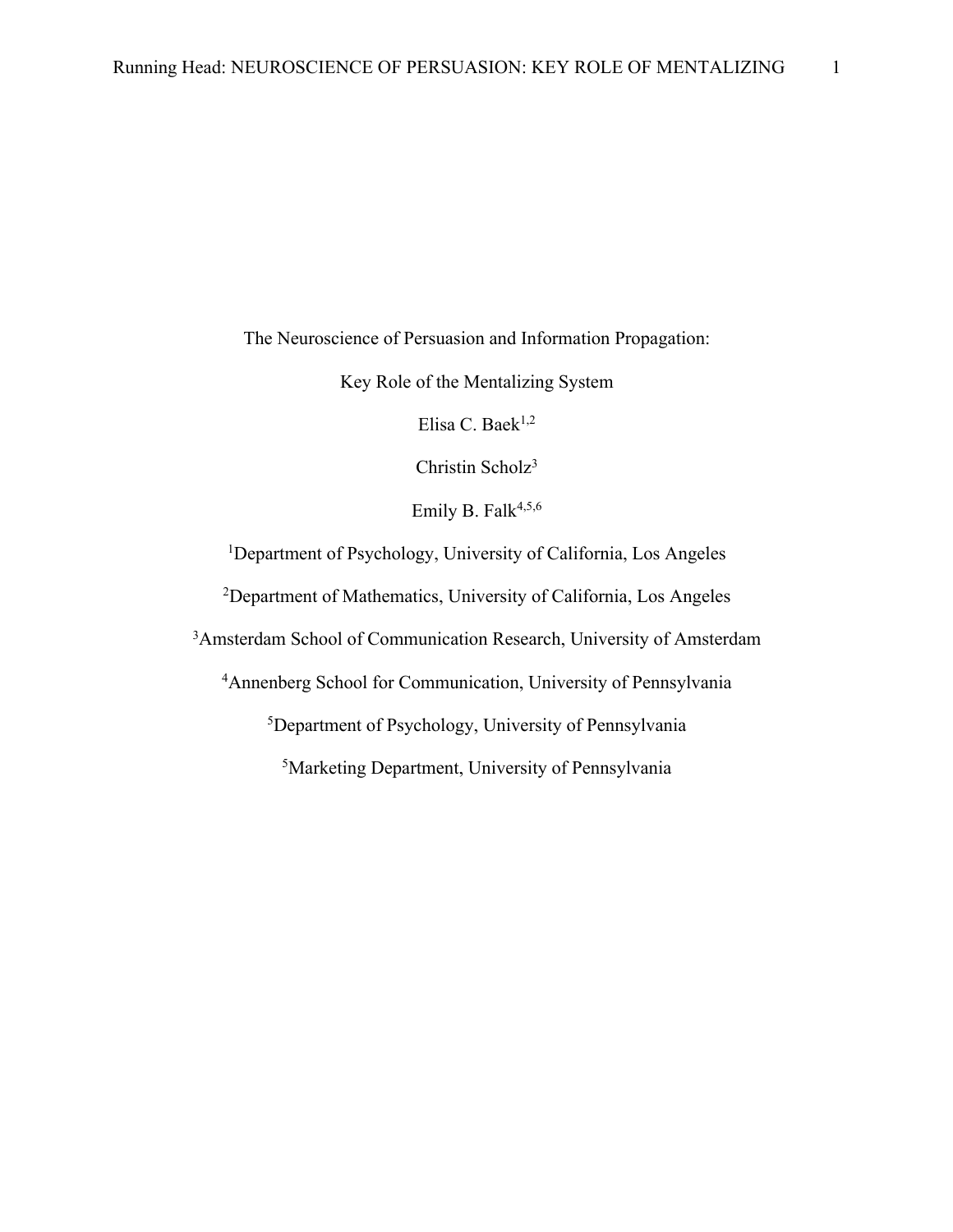The Neuroscience of Persuasion and Information Propagation:

Key Role of the Mentalizing System

Elisa C. Baek<sup>1,2</sup>

Christin Scholz3

Emily B. Falk<sup>4,5,6</sup>

<sup>1</sup>Department of Psychology, University of California, Los Angeles

2 Department of Mathematics, University of California, Los Angeles

<sup>3</sup>Amsterdam School of Communication Research, University of Amsterdam

4 Annenberg School for Communication, University of Pennsylvania

5 Department of Psychology, University of Pennsylvania

5 Marketing Department, University of Pennsylvania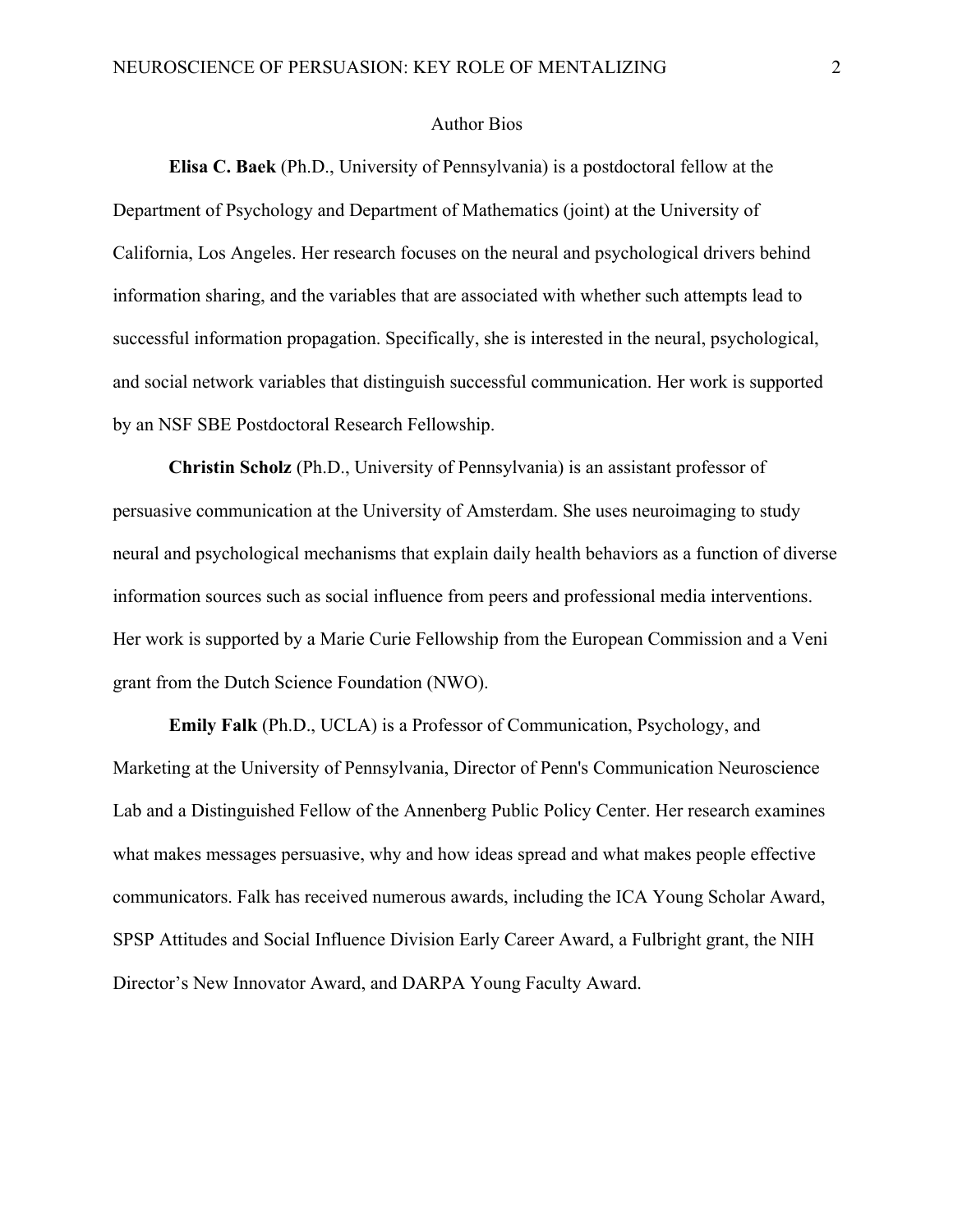## Author Bios

**Elisa C. Baek** (Ph.D., University of Pennsylvania) is a postdoctoral fellow at the Department of Psychology and Department of Mathematics (joint) at the University of California, Los Angeles. Her research focuses on the neural and psychological drivers behind information sharing, and the variables that are associated with whether such attempts lead to successful information propagation. Specifically, she is interested in the neural, psychological, and social network variables that distinguish successful communication. Her work is supported by an NSF SBE Postdoctoral Research Fellowship.

**Christin Scholz** (Ph.D., University of Pennsylvania) is an assistant professor of persuasive communication at the University of Amsterdam. She uses neuroimaging to study neural and psychological mechanisms that explain daily health behaviors as a function of diverse information sources such as social influence from peers and professional media interventions. Her work is supported by a Marie Curie Fellowship from the European Commission and a Veni grant from the Dutch Science Foundation (NWO).

**Emily Falk** (Ph.D., UCLA) is a Professor of Communication, Psychology, and Marketing at the University of Pennsylvania, Director of Penn's Communication Neuroscience Lab and a Distinguished Fellow of the Annenberg Public Policy Center. Her research examines what makes messages persuasive, why and how ideas spread and what makes people effective communicators. Falk has received numerous awards, including the ICA Young Scholar Award, SPSP Attitudes and Social Influence Division Early Career Award, a Fulbright grant, the NIH Director's New Innovator Award, and DARPA Young Faculty Award.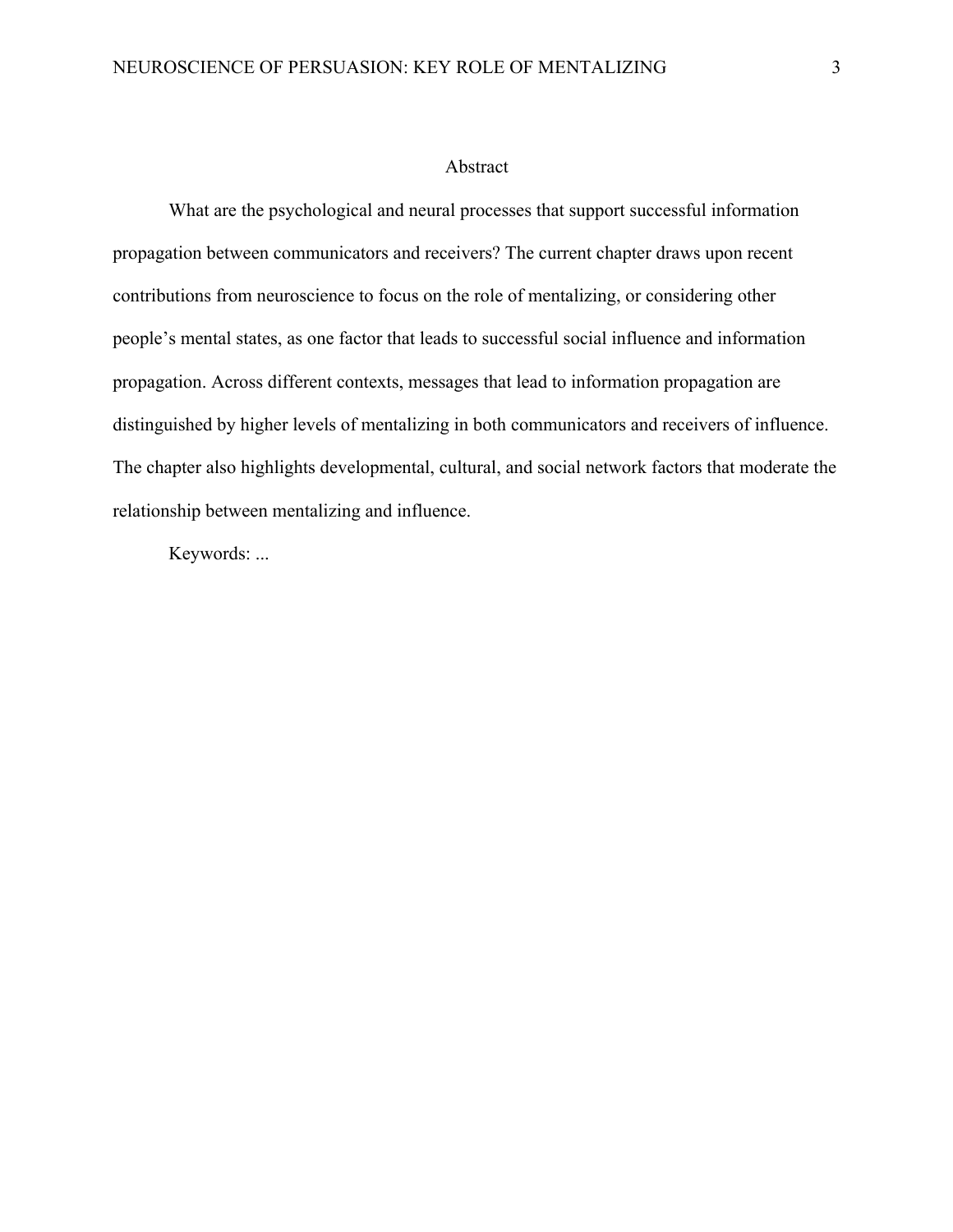#### Abstract

What are the psychological and neural processes that support successful information propagation between communicators and receivers? The current chapter draws upon recent contributions from neuroscience to focus on the role of mentalizing, or considering other people's mental states, as one factor that leads to successful social influence and information propagation. Across different contexts, messages that lead to information propagation are distinguished by higher levels of mentalizing in both communicators and receivers of influence. The chapter also highlights developmental, cultural, and social network factors that moderate the relationship between mentalizing and influence.

Keywords: ...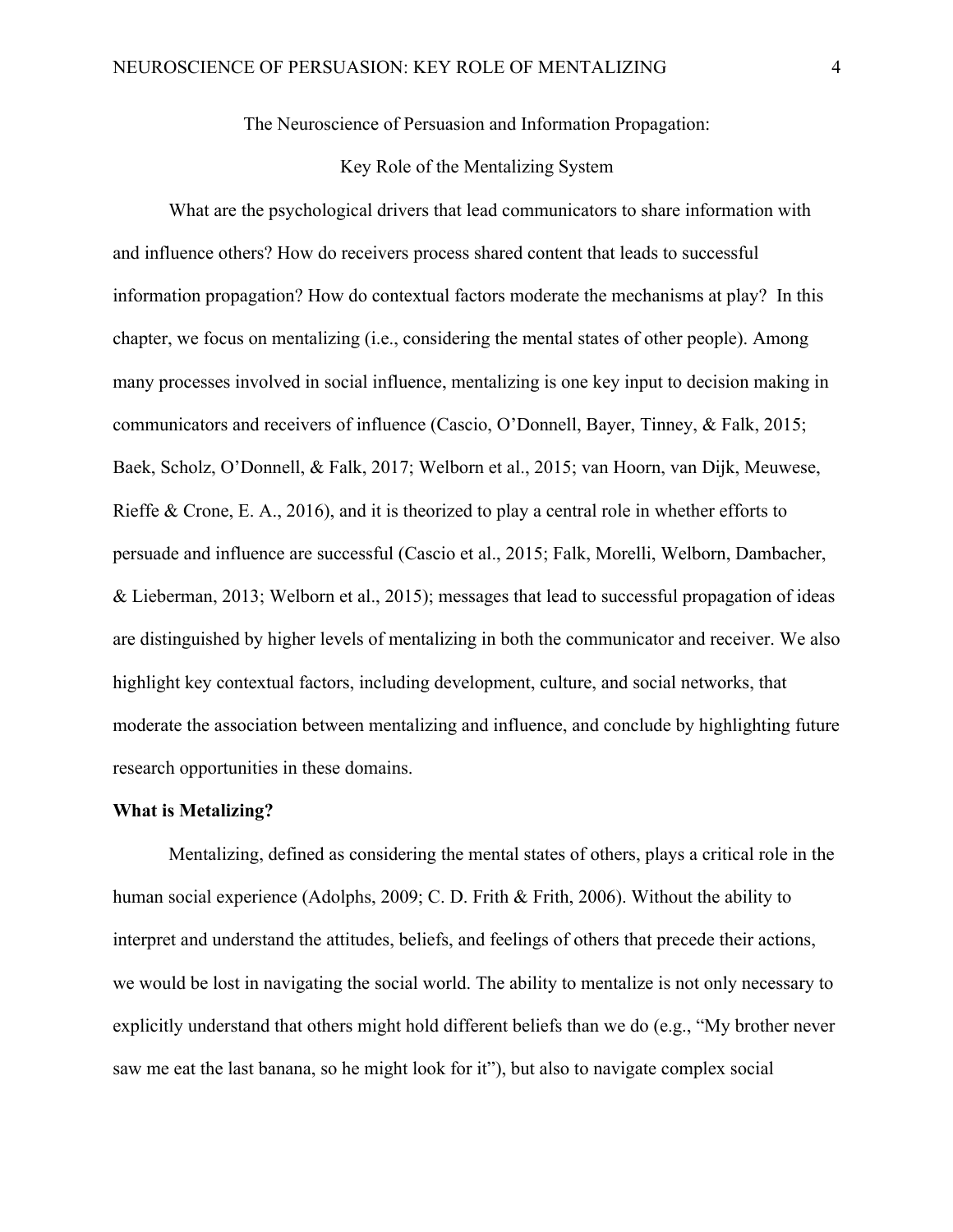The Neuroscience of Persuasion and Information Propagation:

## Key Role of the Mentalizing System

What are the psychological drivers that lead communicators to share information with and influence others? How do receivers process shared content that leads to successful information propagation? How do contextual factors moderate the mechanisms at play? In this chapter, we focus on mentalizing (i.e., considering the mental states of other people). Among many processes involved in social influence, mentalizing is one key input to decision making in communicators and receivers of influence (Cascio, O'Donnell, Bayer, Tinney, & Falk, 2015; Baek, Scholz, O'Donnell, & Falk, 2017; Welborn et al., 2015; van Hoorn, van Dijk, Meuwese, Rieffe & Crone, E. A., 2016), and it is theorized to play a central role in whether efforts to persuade and influence are successful (Cascio et al., 2015; Falk, Morelli, Welborn, Dambacher, & Lieberman, 2013; Welborn et al., 2015); messages that lead to successful propagation of ideas are distinguished by higher levels of mentalizing in both the communicator and receiver. We also highlight key contextual factors, including development, culture, and social networks, that moderate the association between mentalizing and influence, and conclude by highlighting future research opportunities in these domains.

#### **What is Metalizing?**

Mentalizing, defined as considering the mental states of others, plays a critical role in the human social experience (Adolphs, 2009; C. D. Frith & Frith, 2006). Without the ability to interpret and understand the attitudes, beliefs, and feelings of others that precede their actions, we would be lost in navigating the social world. The ability to mentalize is not only necessary to explicitly understand that others might hold different beliefs than we do (e.g., "My brother never saw me eat the last banana, so he might look for it"), but also to navigate complex social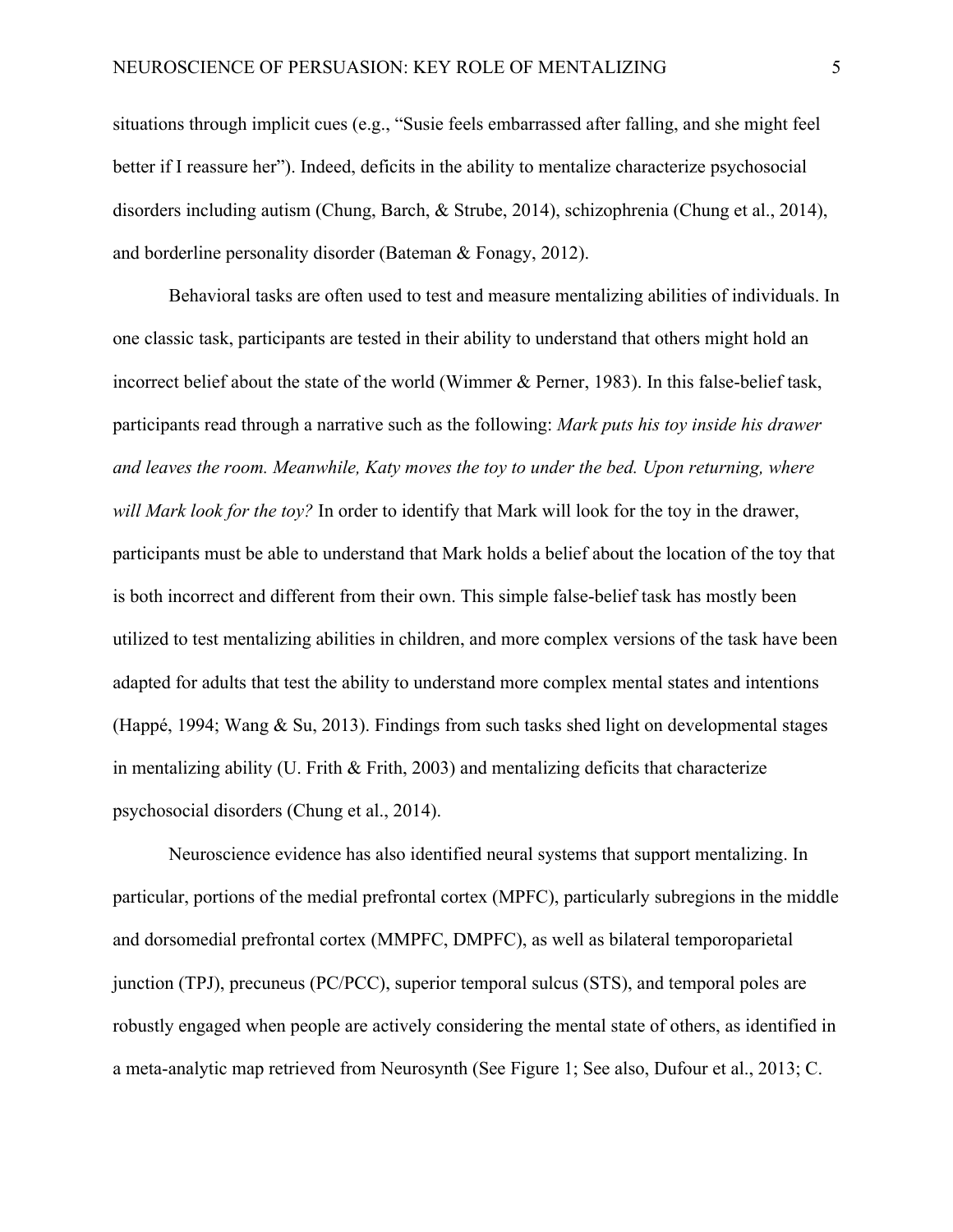situations through implicit cues (e.g., "Susie feels embarrassed after falling, and she might feel better if I reassure her"). Indeed, deficits in the ability to mentalize characterize psychosocial disorders including autism (Chung, Barch, & Strube, 2014), schizophrenia (Chung et al., 2014), and borderline personality disorder (Bateman & Fonagy, 2012).

Behavioral tasks are often used to test and measure mentalizing abilities of individuals. In one classic task, participants are tested in their ability to understand that others might hold an incorrect belief about the state of the world (Wimmer & Perner, 1983). In this false-belief task, participants read through a narrative such as the following: *Mark puts his toy inside his drawer and leaves the room. Meanwhile, Katy moves the toy to under the bed. Upon returning, where will Mark look for the toy?* In order to identify that Mark will look for the toy in the drawer, participants must be able to understand that Mark holds a belief about the location of the toy that is both incorrect and different from their own. This simple false-belief task has mostly been utilized to test mentalizing abilities in children, and more complex versions of the task have been adapted for adults that test the ability to understand more complex mental states and intentions (Happé, 1994; Wang & Su, 2013). Findings from such tasks shed light on developmental stages in mentalizing ability (U. Frith  $\&$  Frith, 2003) and mentalizing deficits that characterize psychosocial disorders (Chung et al., 2014).

Neuroscience evidence has also identified neural systems that support mentalizing. In particular, portions of the medial prefrontal cortex (MPFC), particularly subregions in the middle and dorsomedial prefrontal cortex (MMPFC, DMPFC), as well as bilateral temporoparietal junction (TPJ), precuneus (PC/PCC), superior temporal sulcus (STS), and temporal poles are robustly engaged when people are actively considering the mental state of others, as identified in a meta-analytic map retrieved from Neurosynth (See Figure 1; See also, Dufour et al., 2013; C.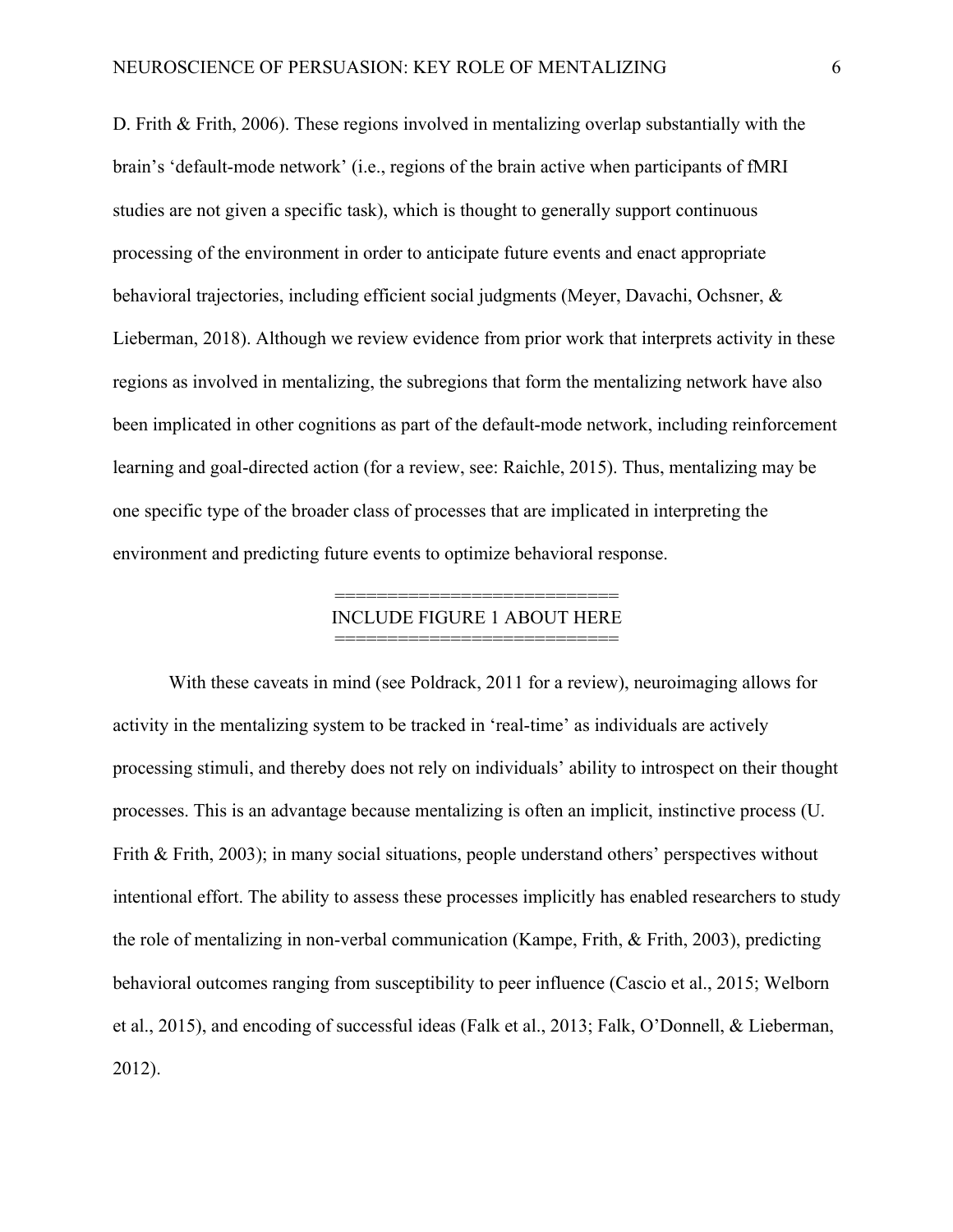D. Frith & Frith, 2006). These regions involved in mentalizing overlap substantially with the brain's 'default-mode network' (i.e., regions of the brain active when participants of fMRI studies are not given a specific task), which is thought to generally support continuous processing of the environment in order to anticipate future events and enact appropriate behavioral trajectories, including efficient social judgments (Meyer, Davachi, Ochsner, & Lieberman, 2018). Although we review evidence from prior work that interprets activity in these regions as involved in mentalizing, the subregions that form the mentalizing network have also been implicated in other cognitions as part of the default-mode network, including reinforcement learning and goal-directed action (for a review, see: Raichle, 2015). Thus, mentalizing may be one specific type of the broader class of processes that are implicated in interpreting the environment and predicting future events to optimize behavioral response.

## ================================= INCLUDE FIGURE 1 ABOUT HERE =================================

With these caveats in mind (see Poldrack, 2011 for a review), neuroimaging allows for activity in the mentalizing system to be tracked in 'real-time' as individuals are actively processing stimuli, and thereby does not rely on individuals' ability to introspect on their thought processes. This is an advantage because mentalizing is often an implicit, instinctive process (U. Frith & Frith, 2003); in many social situations, people understand others' perspectives without intentional effort. The ability to assess these processes implicitly has enabled researchers to study the role of mentalizing in non-verbal communication (Kampe, Frith, & Frith, 2003), predicting behavioral outcomes ranging from susceptibility to peer influence (Cascio et al., 2015; Welborn et al., 2015), and encoding of successful ideas (Falk et al., 2013; Falk, O'Donnell, & Lieberman, 2012).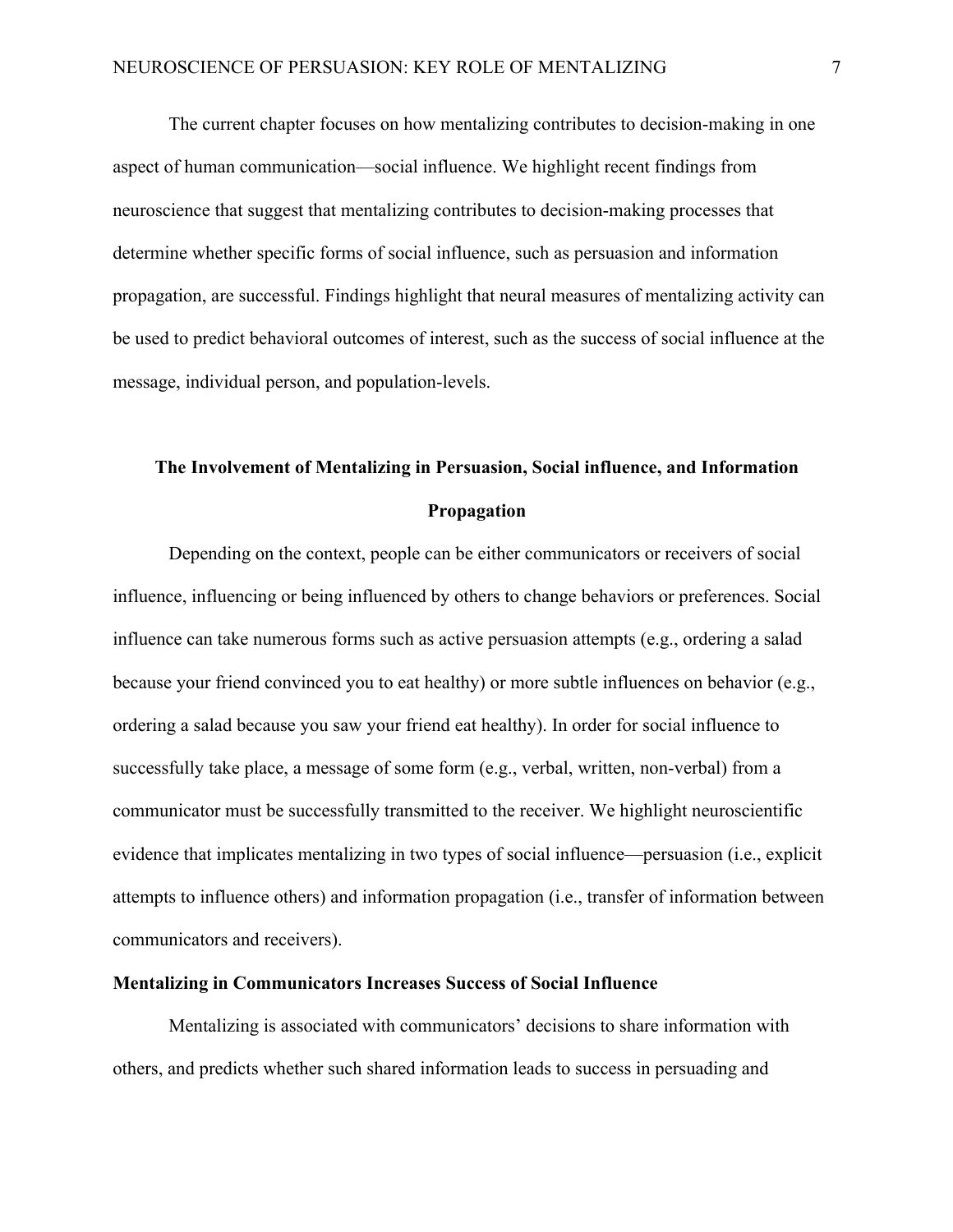The current chapter focuses on how mentalizing contributes to decision-making in one aspect of human communication—social influence. We highlight recent findings from neuroscience that suggest that mentalizing contributes to decision-making processes that determine whether specific forms of social influence, such as persuasion and information propagation, are successful. Findings highlight that neural measures of mentalizing activity can be used to predict behavioral outcomes of interest, such as the success of social influence at the message, individual person, and population-levels.

# **The Involvement of Mentalizing in Persuasion, Social influence, and Information Propagation**

Depending on the context, people can be either communicators or receivers of social influence, influencing or being influenced by others to change behaviors or preferences. Social influence can take numerous forms such as active persuasion attempts (e.g., ordering a salad because your friend convinced you to eat healthy) or more subtle influences on behavior (e.g., ordering a salad because you saw your friend eat healthy). In order for social influence to successfully take place, a message of some form (e.g., verbal, written, non-verbal) from a communicator must be successfully transmitted to the receiver. We highlight neuroscientific evidence that implicates mentalizing in two types of social influence—persuasion (i.e., explicit attempts to influence others) and information propagation (i.e., transfer of information between communicators and receivers).

## **Mentalizing in Communicators Increases Success of Social Influence**

Mentalizing is associated with communicators' decisions to share information with others, and predicts whether such shared information leads to success in persuading and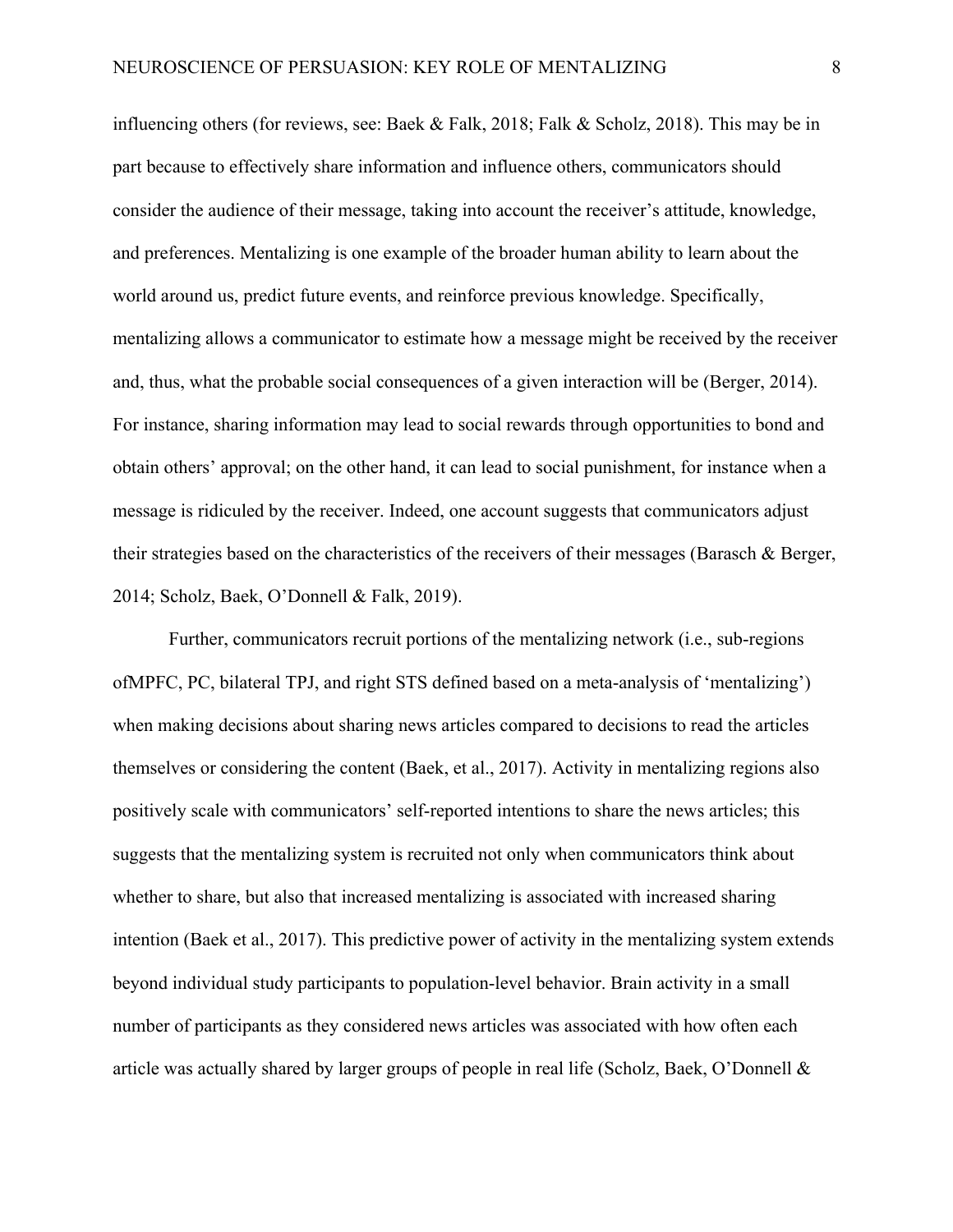influencing others (for reviews, see: Baek & Falk, 2018; Falk & Scholz, 2018). This may be in part because to effectively share information and influence others, communicators should consider the audience of their message, taking into account the receiver's attitude, knowledge, and preferences. Mentalizing is one example of the broader human ability to learn about the world around us, predict future events, and reinforce previous knowledge. Specifically, mentalizing allows a communicator to estimate how a message might be received by the receiver and, thus, what the probable social consequences of a given interaction will be (Berger, 2014). For instance, sharing information may lead to social rewards through opportunities to bond and obtain others' approval; on the other hand, it can lead to social punishment, for instance when a message is ridiculed by the receiver. Indeed, one account suggests that communicators adjust their strategies based on the characteristics of the receivers of their messages (Barasch & Berger, 2014; Scholz, Baek, O'Donnell & Falk, 2019).

Further, communicators recruit portions of the mentalizing network (i.e., sub-regions ofMPFC, PC, bilateral TPJ, and right STS defined based on a meta-analysis of 'mentalizing') when making decisions about sharing news articles compared to decisions to read the articles themselves or considering the content (Baek, et al., 2017). Activity in mentalizing regions also positively scale with communicators' self-reported intentions to share the news articles; this suggests that the mentalizing system is recruited not only when communicators think about whether to share, but also that increased mentalizing is associated with increased sharing intention (Baek et al., 2017). This predictive power of activity in the mentalizing system extends beyond individual study participants to population-level behavior. Brain activity in a small number of participants as they considered news articles was associated with how often each article was actually shared by larger groups of people in real life (Scholz, Baek, O'Donnell &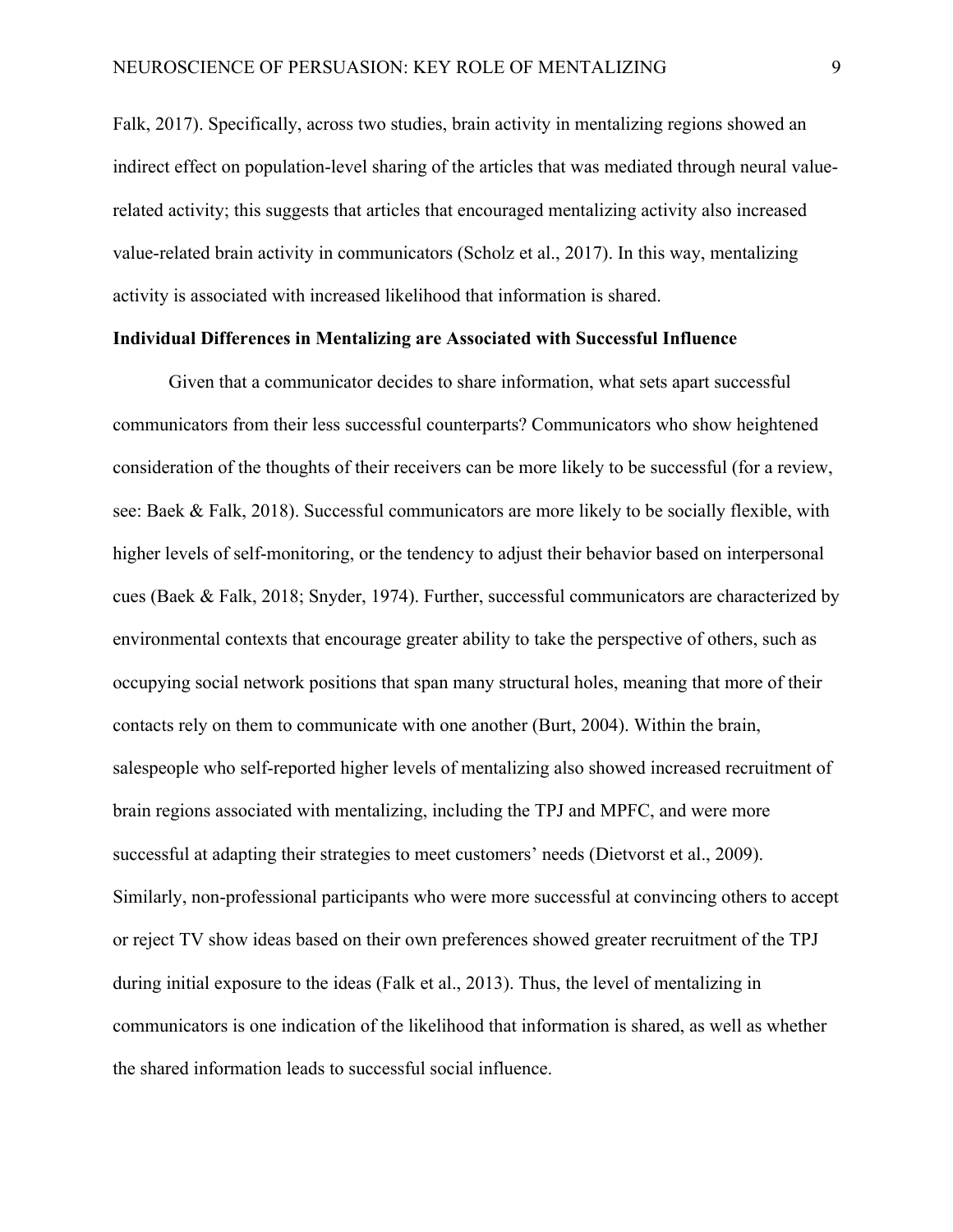Falk, 2017). Specifically, across two studies, brain activity in mentalizing regions showed an indirect effect on population-level sharing of the articles that was mediated through neural valuerelated activity; this suggests that articles that encouraged mentalizing activity also increased value-related brain activity in communicators (Scholz et al., 2017). In this way, mentalizing activity is associated with increased likelihood that information is shared.

## **Individual Differences in Mentalizing are Associated with Successful Influence**

Given that a communicator decides to share information, what sets apart successful communicators from their less successful counterparts? Communicators who show heightened consideration of the thoughts of their receivers can be more likely to be successful (for a review, see: Baek & Falk, 2018). Successful communicators are more likely to be socially flexible, with higher levels of self-monitoring, or the tendency to adjust their behavior based on interpersonal cues (Baek & Falk, 2018; Snyder, 1974). Further, successful communicators are characterized by environmental contexts that encourage greater ability to take the perspective of others, such as occupying social network positions that span many structural holes, meaning that more of their contacts rely on them to communicate with one another (Burt, 2004). Within the brain, salespeople who self-reported higher levels of mentalizing also showed increased recruitment of brain regions associated with mentalizing, including the TPJ and MPFC, and were more successful at adapting their strategies to meet customers' needs (Dietvorst et al., 2009). Similarly, non-professional participants who were more successful at convincing others to accept or reject TV show ideas based on their own preferences showed greater recruitment of the TPJ during initial exposure to the ideas (Falk et al., 2013). Thus, the level of mentalizing in communicators is one indication of the likelihood that information is shared, as well as whether the shared information leads to successful social influence.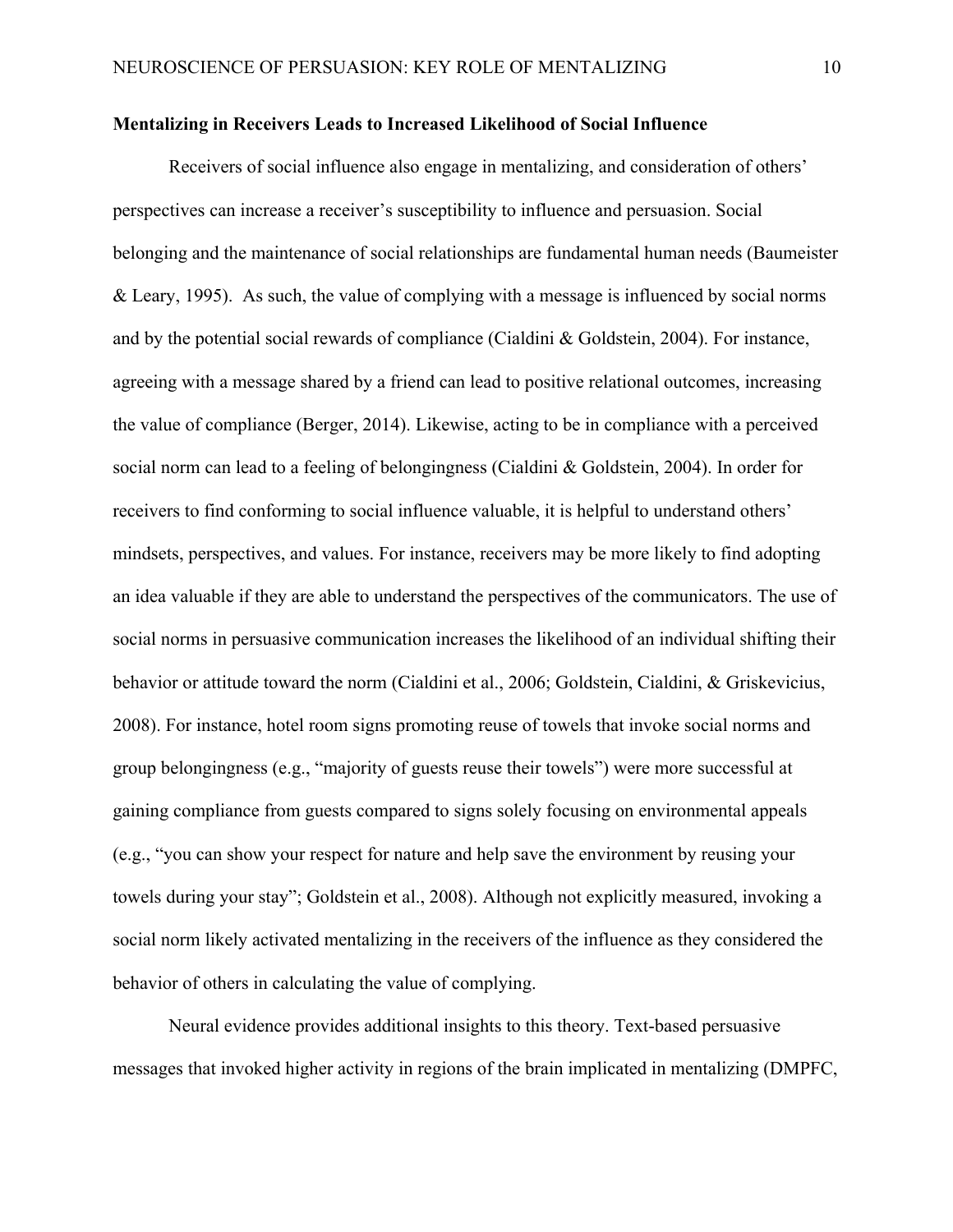#### **Mentalizing in Receivers Leads to Increased Likelihood of Social Influence**

Receivers of social influence also engage in mentalizing, and consideration of others' perspectives can increase a receiver's susceptibility to influence and persuasion. Social belonging and the maintenance of social relationships are fundamental human needs (Baumeister & Leary, 1995). As such, the value of complying with a message is influenced by social norms and by the potential social rewards of compliance (Cialdini & Goldstein, 2004). For instance, agreeing with a message shared by a friend can lead to positive relational outcomes, increasing the value of compliance (Berger, 2014). Likewise, acting to be in compliance with a perceived social norm can lead to a feeling of belongingness (Cialdini & Goldstein, 2004). In order for receivers to find conforming to social influence valuable, it is helpful to understand others' mindsets, perspectives, and values. For instance, receivers may be more likely to find adopting an idea valuable if they are able to understand the perspectives of the communicators. The use of social norms in persuasive communication increases the likelihood of an individual shifting their behavior or attitude toward the norm (Cialdini et al., 2006; Goldstein, Cialdini, & Griskevicius, 2008). For instance, hotel room signs promoting reuse of towels that invoke social norms and group belongingness (e.g., "majority of guests reuse their towels") were more successful at gaining compliance from guests compared to signs solely focusing on environmental appeals (e.g., "you can show your respect for nature and help save the environment by reusing your towels during your stay"; Goldstein et al., 2008). Although not explicitly measured, invoking a social norm likely activated mentalizing in the receivers of the influence as they considered the behavior of others in calculating the value of complying.

Neural evidence provides additional insights to this theory. Text-based persuasive messages that invoked higher activity in regions of the brain implicated in mentalizing (DMPFC,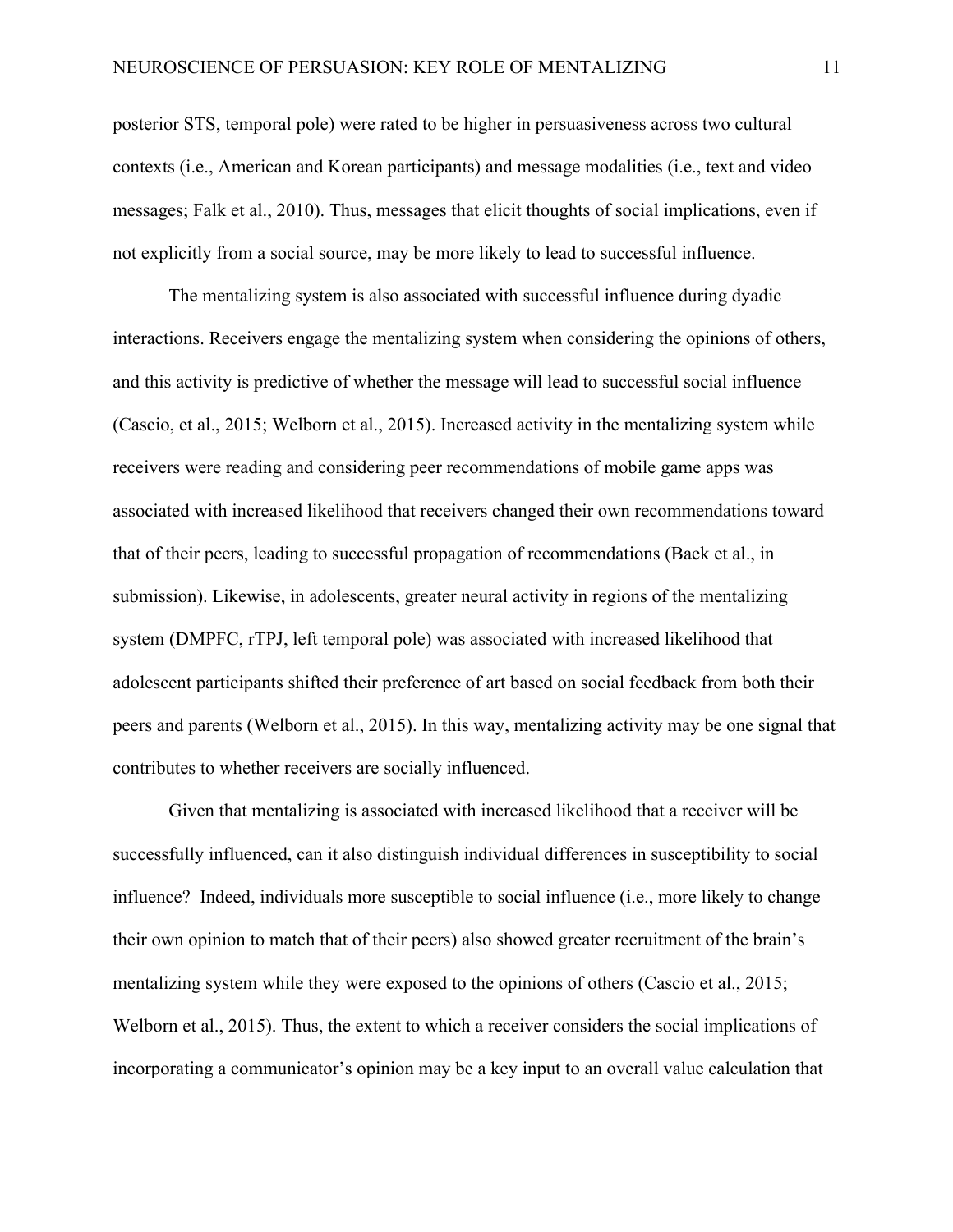posterior STS, temporal pole) were rated to be higher in persuasiveness across two cultural contexts (i.e., American and Korean participants) and message modalities (i.e., text and video messages; Falk et al., 2010). Thus, messages that elicit thoughts of social implications, even if not explicitly from a social source, may be more likely to lead to successful influence.

The mentalizing system is also associated with successful influence during dyadic interactions. Receivers engage the mentalizing system when considering the opinions of others, and this activity is predictive of whether the message will lead to successful social influence (Cascio, et al., 2015; Welborn et al., 2015). Increased activity in the mentalizing system while receivers were reading and considering peer recommendations of mobile game apps was associated with increased likelihood that receivers changed their own recommendations toward that of their peers, leading to successful propagation of recommendations (Baek et al., in submission). Likewise, in adolescents, greater neural activity in regions of the mentalizing system (DMPFC, rTPJ, left temporal pole) was associated with increased likelihood that adolescent participants shifted their preference of art based on social feedback from both their peers and parents (Welborn et al., 2015). In this way, mentalizing activity may be one signal that contributes to whether receivers are socially influenced.

Given that mentalizing is associated with increased likelihood that a receiver will be successfully influenced, can it also distinguish individual differences in susceptibility to social influence? Indeed, individuals more susceptible to social influence (i.e., more likely to change their own opinion to match that of their peers) also showed greater recruitment of the brain's mentalizing system while they were exposed to the opinions of others (Cascio et al., 2015; Welborn et al., 2015). Thus, the extent to which a receiver considers the social implications of incorporating a communicator's opinion may be a key input to an overall value calculation that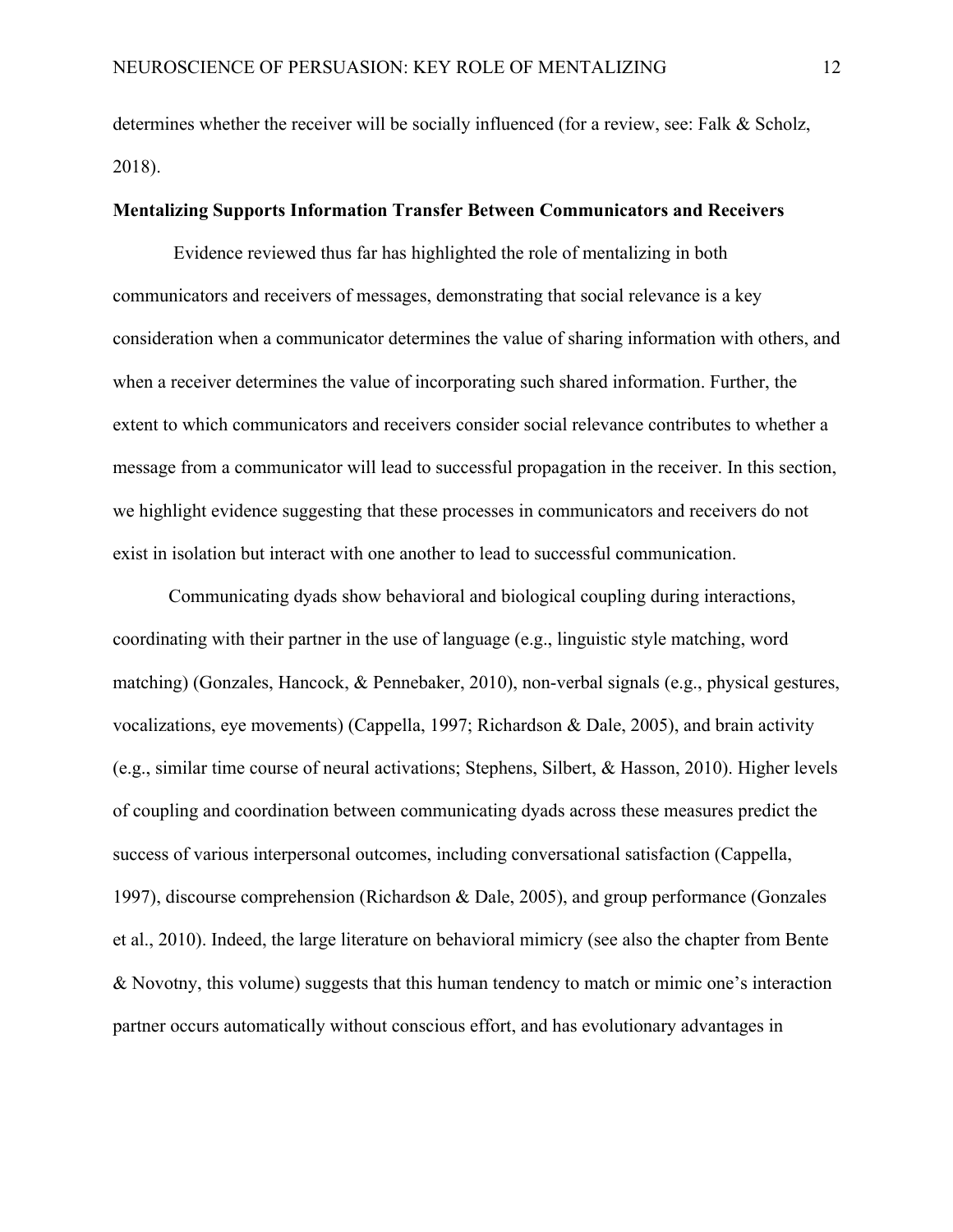determines whether the receiver will be socially influenced (for a review, see: Falk & Scholz, 2018).

## **Mentalizing Supports Information Transfer Between Communicators and Receivers**

Evidence reviewed thus far has highlighted the role of mentalizing in both communicators and receivers of messages, demonstrating that social relevance is a key consideration when a communicator determines the value of sharing information with others, and when a receiver determines the value of incorporating such shared information. Further, the extent to which communicators and receivers consider social relevance contributes to whether a message from a communicator will lead to successful propagation in the receiver. In this section, we highlight evidence suggesting that these processes in communicators and receivers do not exist in isolation but interact with one another to lead to successful communication.

Communicating dyads show behavioral and biological coupling during interactions, coordinating with their partner in the use of language (e.g., linguistic style matching, word matching) (Gonzales, Hancock, & Pennebaker, 2010), non-verbal signals (e.g., physical gestures, vocalizations, eye movements) (Cappella, 1997; Richardson & Dale, 2005), and brain activity (e.g., similar time course of neural activations; Stephens, Silbert, & Hasson, 2010). Higher levels of coupling and coordination between communicating dyads across these measures predict the success of various interpersonal outcomes, including conversational satisfaction (Cappella, 1997), discourse comprehension (Richardson & Dale, 2005), and group performance (Gonzales et al., 2010). Indeed, the large literature on behavioral mimicry (see also the chapter from Bente & Novotny, this volume) suggests that this human tendency to match or mimic one's interaction partner occurs automatically without conscious effort, and has evolutionary advantages in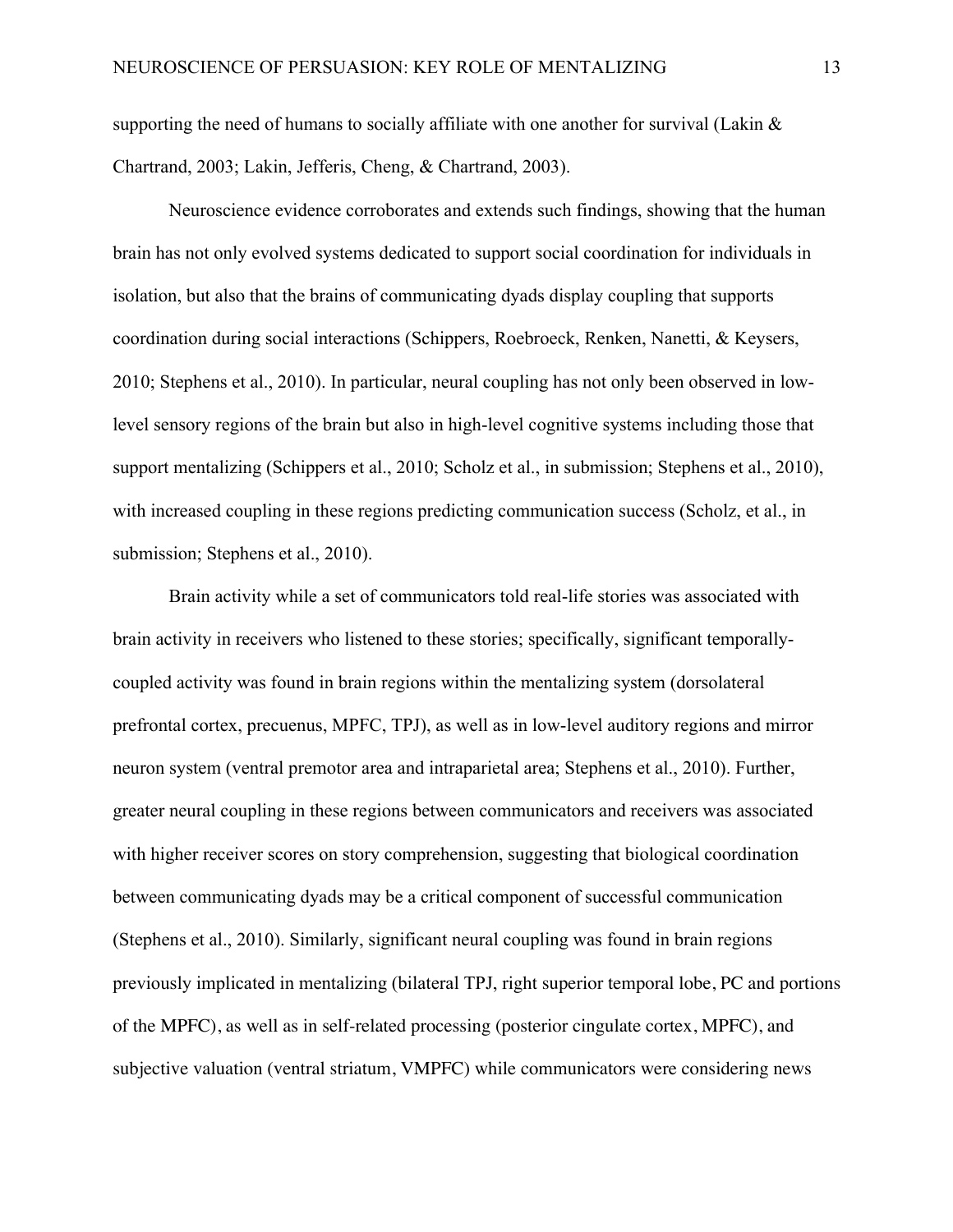supporting the need of humans to socially affiliate with one another for survival (Lakin & Chartrand, 2003; Lakin, Jefferis, Cheng, & Chartrand, 2003).

Neuroscience evidence corroborates and extends such findings, showing that the human brain has not only evolved systems dedicated to support social coordination for individuals in isolation, but also that the brains of communicating dyads display coupling that supports coordination during social interactions (Schippers, Roebroeck, Renken, Nanetti, & Keysers, 2010; Stephens et al., 2010). In particular, neural coupling has not only been observed in lowlevel sensory regions of the brain but also in high-level cognitive systems including those that support mentalizing (Schippers et al., 2010; Scholz et al., in submission; Stephens et al., 2010), with increased coupling in these regions predicting communication success (Scholz, et al., in submission; Stephens et al., 2010).

Brain activity while a set of communicators told real-life stories was associated with brain activity in receivers who listened to these stories; specifically, significant temporallycoupled activity was found in brain regions within the mentalizing system (dorsolateral prefrontal cortex, precuenus, MPFC, TPJ), as well as in low-level auditory regions and mirror neuron system (ventral premotor area and intraparietal area; Stephens et al., 2010). Further, greater neural coupling in these regions between communicators and receivers was associated with higher receiver scores on story comprehension, suggesting that biological coordination between communicating dyads may be a critical component of successful communication (Stephens et al., 2010). Similarly, significant neural coupling was found in brain regions previously implicated in mentalizing (bilateral TPJ, right superior temporal lobe, PC and portions of the MPFC), as well as in self-related processing (posterior cingulate cortex, MPFC), and subjective valuation (ventral striatum, VMPFC) while communicators were considering news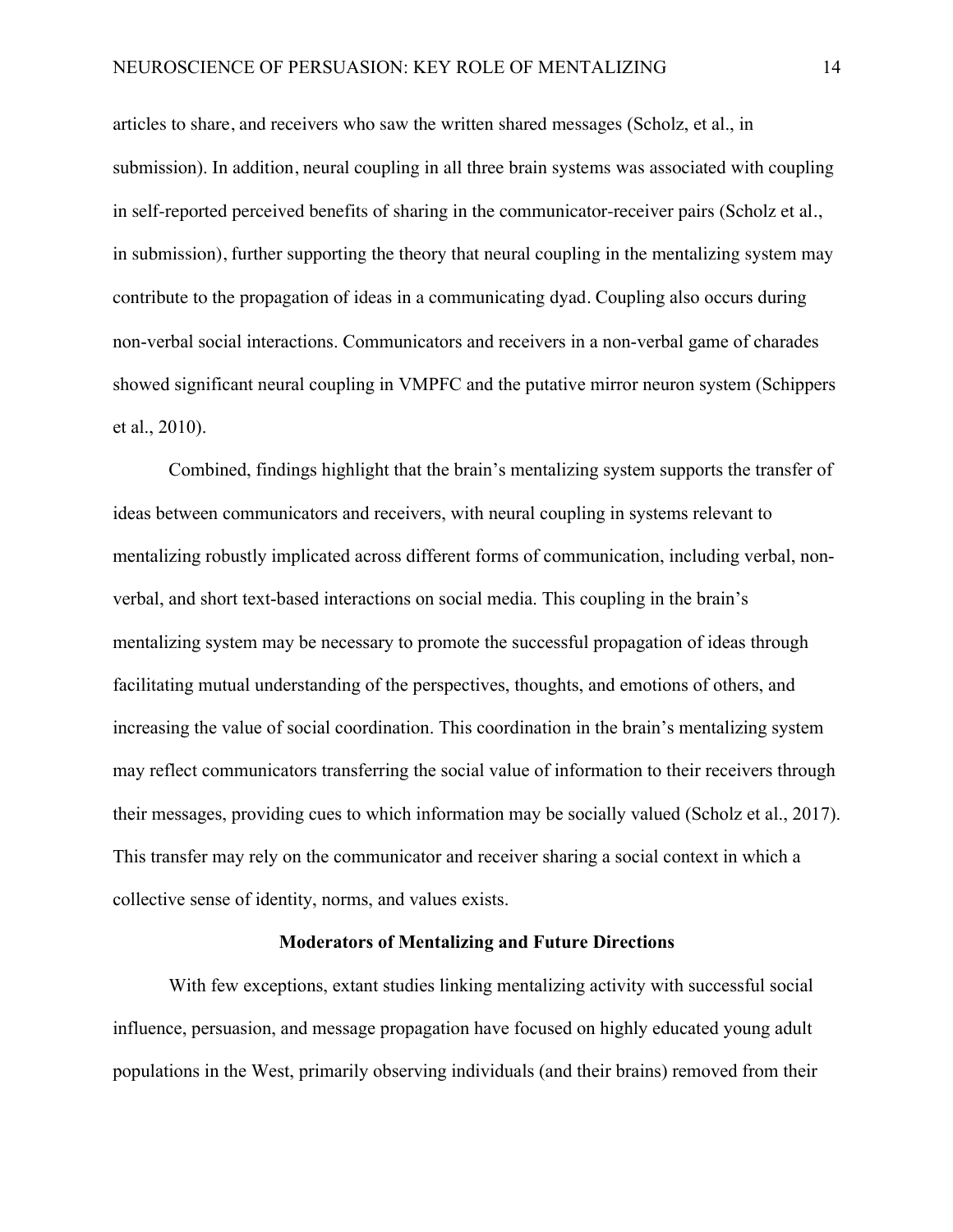articles to share, and receivers who saw the written shared messages (Scholz, et al., in submission). In addition, neural coupling in all three brain systems was associated with coupling in self-reported perceived benefits of sharing in the communicator-receiver pairs (Scholz et al., in submission), further supporting the theory that neural coupling in the mentalizing system may contribute to the propagation of ideas in a communicating dyad. Coupling also occurs during non-verbal social interactions. Communicators and receivers in a non-verbal game of charades showed significant neural coupling in VMPFC and the putative mirror neuron system (Schippers et al., 2010).

Combined, findings highlight that the brain's mentalizing system supports the transfer of ideas between communicators and receivers, with neural coupling in systems relevant to mentalizing robustly implicated across different forms of communication, including verbal, nonverbal, and short text-based interactions on social media. This coupling in the brain's mentalizing system may be necessary to promote the successful propagation of ideas through facilitating mutual understanding of the perspectives, thoughts, and emotions of others, and increasing the value of social coordination. This coordination in the brain's mentalizing system may reflect communicators transferring the social value of information to their receivers through their messages, providing cues to which information may be socially valued (Scholz et al., 2017). This transfer may rely on the communicator and receiver sharing a social context in which a collective sense of identity, norms, and values exists.

## **Moderators of Mentalizing and Future Directions**

With few exceptions, extant studies linking mentalizing activity with successful social influence, persuasion, and message propagation have focused on highly educated young adult populations in the West, primarily observing individuals (and their brains) removed from their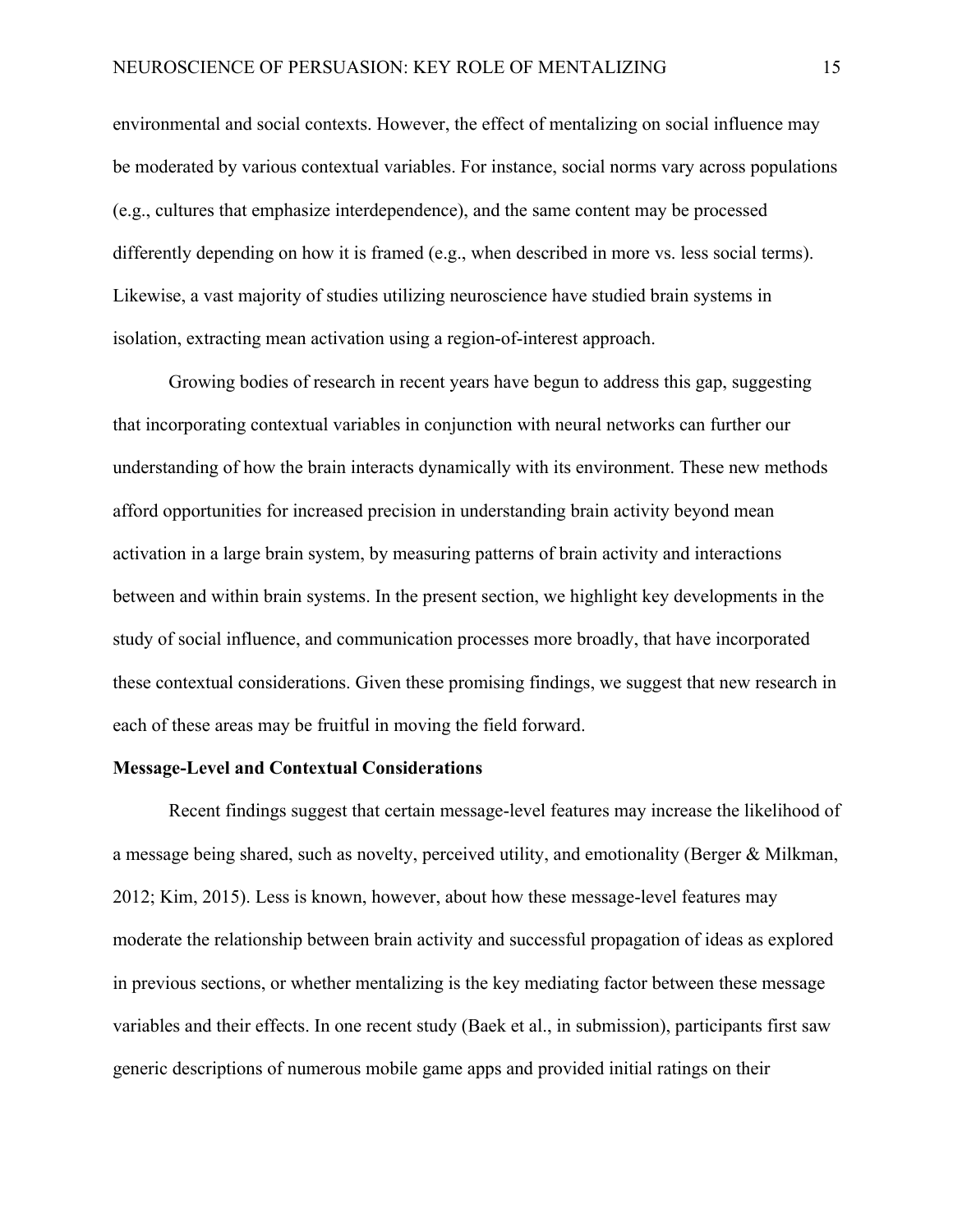environmental and social contexts. However, the effect of mentalizing on social influence may be moderated by various contextual variables. For instance, social norms vary across populations (e.g., cultures that emphasize interdependence), and the same content may be processed differently depending on how it is framed (e.g., when described in more vs. less social terms). Likewise, a vast majority of studies utilizing neuroscience have studied brain systems in isolation, extracting mean activation using a region-of-interest approach.

Growing bodies of research in recent years have begun to address this gap, suggesting that incorporating contextual variables in conjunction with neural networks can further our understanding of how the brain interacts dynamically with its environment. These new methods afford opportunities for increased precision in understanding brain activity beyond mean activation in a large brain system, by measuring patterns of brain activity and interactions between and within brain systems. In the present section, we highlight key developments in the study of social influence, and communication processes more broadly, that have incorporated these contextual considerations. Given these promising findings, we suggest that new research in each of these areas may be fruitful in moving the field forward.

## **Message-Level and Contextual Considerations**

Recent findings suggest that certain message-level features may increase the likelihood of a message being shared, such as novelty, perceived utility, and emotionality (Berger & Milkman, 2012; Kim, 2015). Less is known, however, about how these message-level features may moderate the relationship between brain activity and successful propagation of ideas as explored in previous sections, or whether mentalizing is the key mediating factor between these message variables and their effects. In one recent study (Baek et al., in submission), participants first saw generic descriptions of numerous mobile game apps and provided initial ratings on their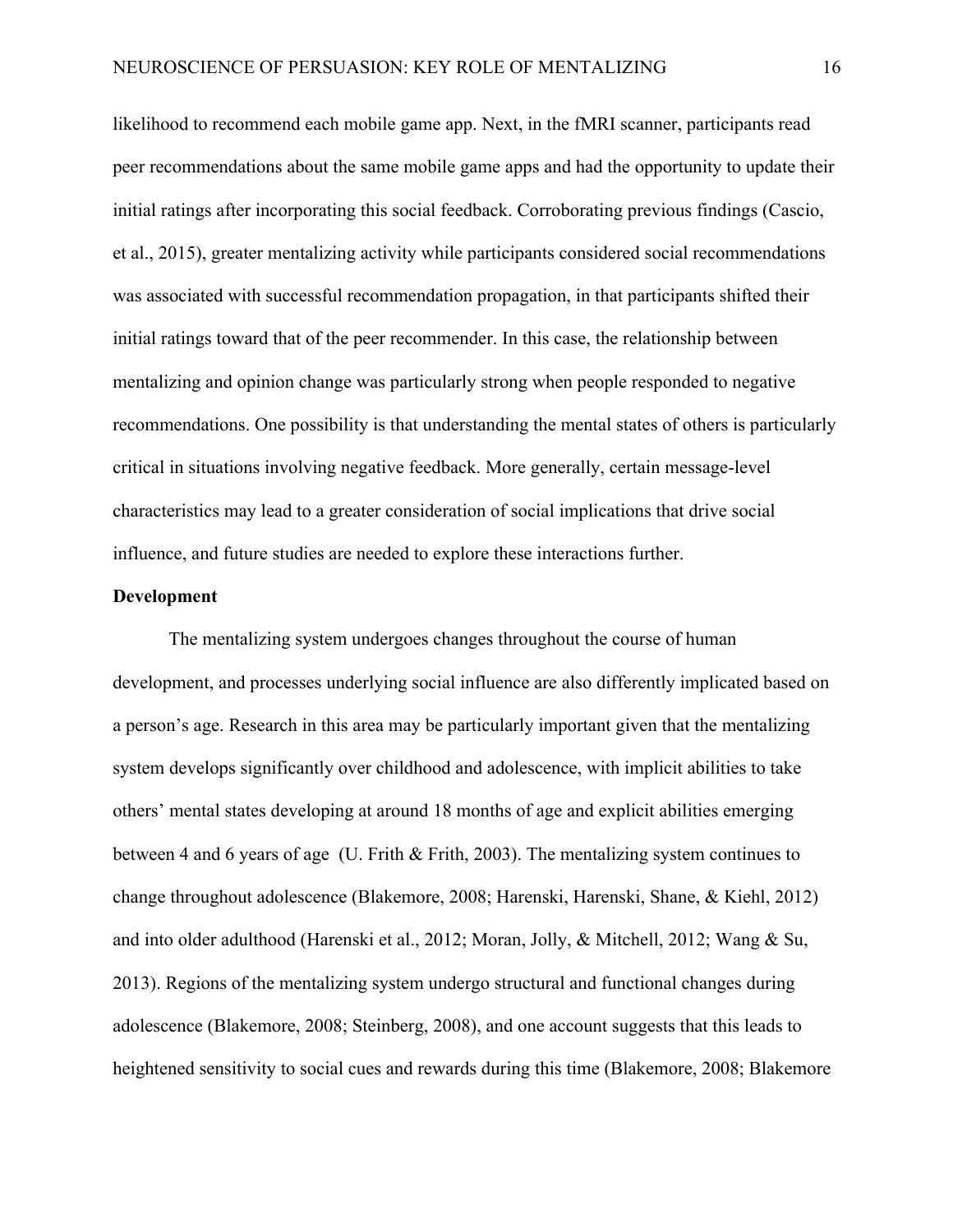likelihood to recommend each mobile game app. Next, in the fMRI scanner, participants read peer recommendations about the same mobile game apps and had the opportunity to update their initial ratings after incorporating this social feedback. Corroborating previous findings (Cascio, et al., 2015), greater mentalizing activity while participants considered social recommendations was associated with successful recommendation propagation, in that participants shifted their initial ratings toward that of the peer recommender. In this case, the relationship between mentalizing and opinion change was particularly strong when people responded to negative recommendations. One possibility is that understanding the mental states of others is particularly critical in situations involving negative feedback. More generally, certain message-level characteristics may lead to a greater consideration of social implications that drive social influence, and future studies are needed to explore these interactions further.

#### **Development**

The mentalizing system undergoes changes throughout the course of human development, and processes underlying social influence are also differently implicated based on a person's age. Research in this area may be particularly important given that the mentalizing system develops significantly over childhood and adolescence, with implicit abilities to take others' mental states developing at around 18 months of age and explicit abilities emerging between 4 and 6 years of age (U. Frith & Frith, 2003). The mentalizing system continues to change throughout adolescence (Blakemore, 2008; Harenski, Harenski, Shane, & Kiehl, 2012) and into older adulthood (Harenski et al., 2012; Moran, Jolly, & Mitchell, 2012; Wang & Su, 2013). Regions of the mentalizing system undergo structural and functional changes during adolescence (Blakemore, 2008; Steinberg, 2008), and one account suggests that this leads to heightened sensitivity to social cues and rewards during this time (Blakemore, 2008; Blakemore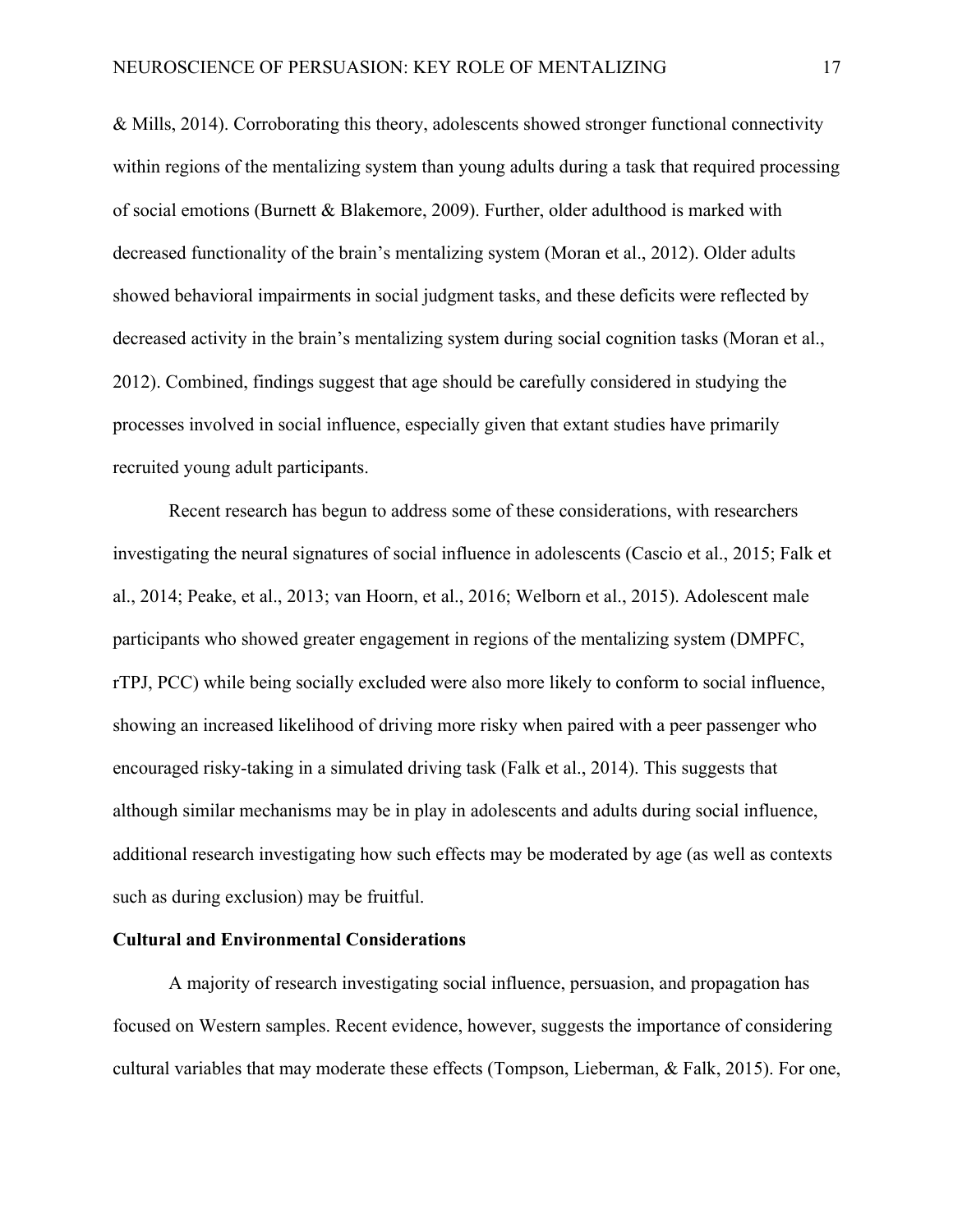& Mills, 2014). Corroborating this theory, adolescents showed stronger functional connectivity within regions of the mentalizing system than young adults during a task that required processing of social emotions (Burnett & Blakemore, 2009). Further, older adulthood is marked with decreased functionality of the brain's mentalizing system (Moran et al., 2012). Older adults showed behavioral impairments in social judgment tasks, and these deficits were reflected by decreased activity in the brain's mentalizing system during social cognition tasks (Moran et al., 2012). Combined, findings suggest that age should be carefully considered in studying the processes involved in social influence, especially given that extant studies have primarily recruited young adult participants.

Recent research has begun to address some of these considerations, with researchers investigating the neural signatures of social influence in adolescents (Cascio et al., 2015; Falk et al., 2014; Peake, et al., 2013; van Hoorn, et al., 2016; Welborn et al., 2015). Adolescent male participants who showed greater engagement in regions of the mentalizing system (DMPFC, rTPJ, PCC) while being socially excluded were also more likely to conform to social influence, showing an increased likelihood of driving more risky when paired with a peer passenger who encouraged risky-taking in a simulated driving task (Falk et al., 2014). This suggests that although similar mechanisms may be in play in adolescents and adults during social influence, additional research investigating how such effects may be moderated by age (as well as contexts such as during exclusion) may be fruitful.

## **Cultural and Environmental Considerations**

A majority of research investigating social influence, persuasion, and propagation has focused on Western samples. Recent evidence, however, suggests the importance of considering cultural variables that may moderate these effects (Tompson, Lieberman, & Falk, 2015). For one,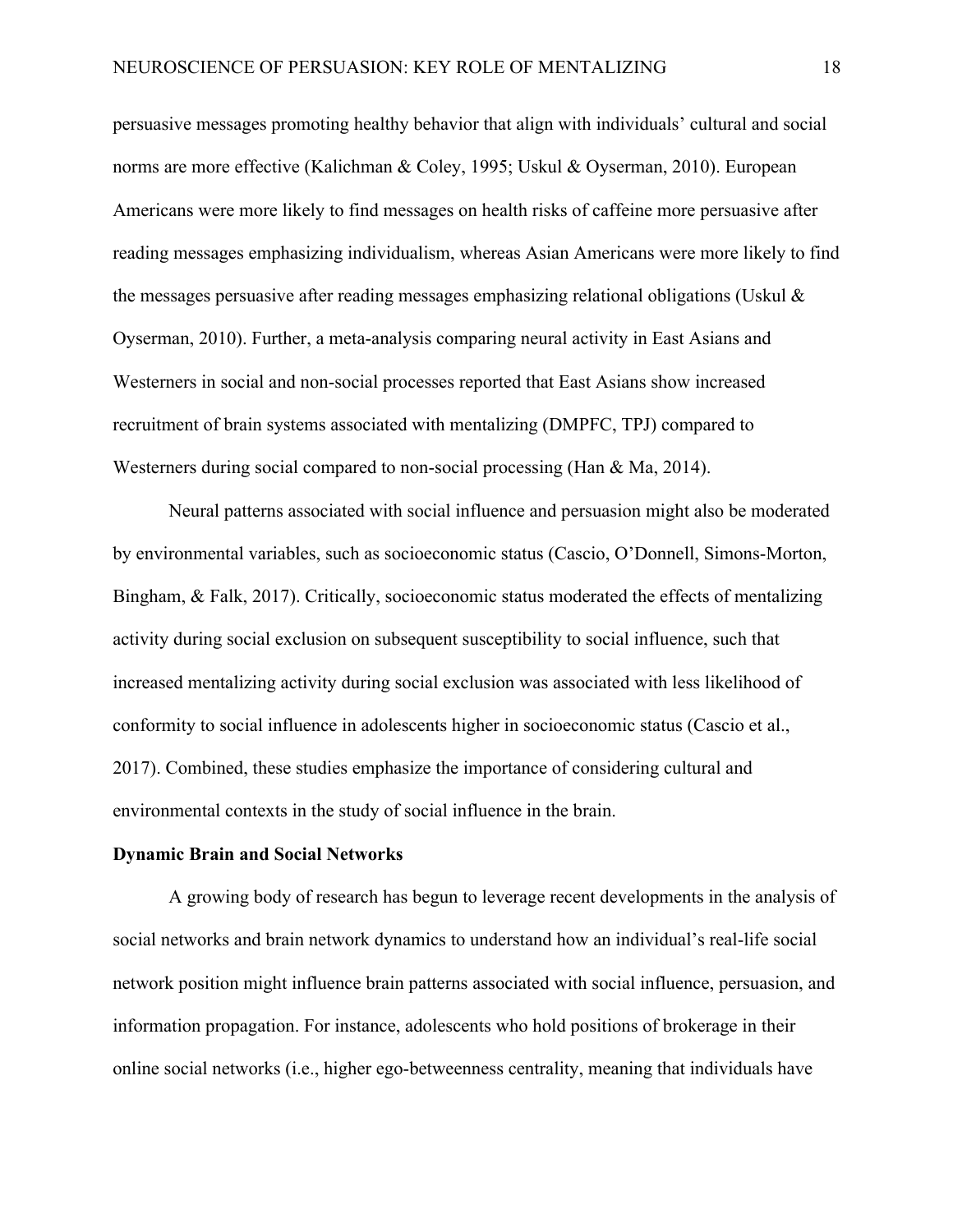persuasive messages promoting healthy behavior that align with individuals' cultural and social norms are more effective (Kalichman & Coley, 1995; Uskul & Oyserman, 2010). European Americans were more likely to find messages on health risks of caffeine more persuasive after reading messages emphasizing individualism, whereas Asian Americans were more likely to find the messages persuasive after reading messages emphasizing relational obligations (Uskul & Oyserman, 2010). Further, a meta-analysis comparing neural activity in East Asians and Westerners in social and non-social processes reported that East Asians show increased recruitment of brain systems associated with mentalizing (DMPFC, TPJ) compared to Westerners during social compared to non-social processing (Han & Ma, 2014).

Neural patterns associated with social influence and persuasion might also be moderated by environmental variables, such as socioeconomic status (Cascio, O'Donnell, Simons-Morton, Bingham, & Falk, 2017). Critically, socioeconomic status moderated the effects of mentalizing activity during social exclusion on subsequent susceptibility to social influence, such that increased mentalizing activity during social exclusion was associated with less likelihood of conformity to social influence in adolescents higher in socioeconomic status (Cascio et al., 2017). Combined, these studies emphasize the importance of considering cultural and environmental contexts in the study of social influence in the brain.

#### **Dynamic Brain and Social Networks**

A growing body of research has begun to leverage recent developments in the analysis of social networks and brain network dynamics to understand how an individual's real-life social network position might influence brain patterns associated with social influence, persuasion, and information propagation. For instance, adolescents who hold positions of brokerage in their online social networks (i.e., higher ego-betweenness centrality, meaning that individuals have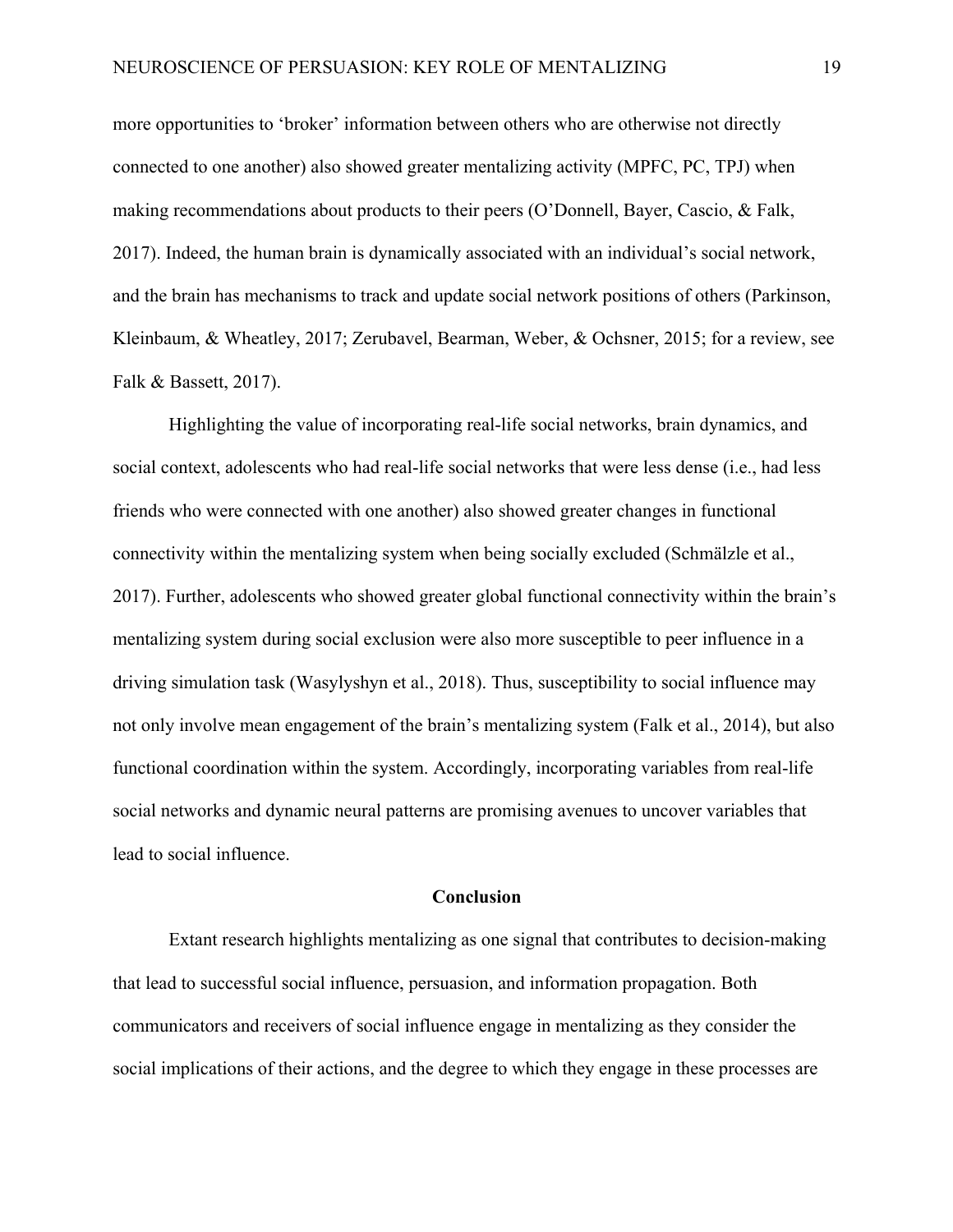more opportunities to 'broker' information between others who are otherwise not directly connected to one another) also showed greater mentalizing activity (MPFC, PC, TPJ) when making recommendations about products to their peers (O'Donnell, Bayer, Cascio, & Falk, 2017). Indeed, the human brain is dynamically associated with an individual's social network, and the brain has mechanisms to track and update social network positions of others (Parkinson, Kleinbaum, & Wheatley, 2017; Zerubavel, Bearman, Weber, & Ochsner, 2015; for a review, see Falk & Bassett, 2017).

Highlighting the value of incorporating real-life social networks, brain dynamics, and social context, adolescents who had real-life social networks that were less dense (i.e., had less friends who were connected with one another) also showed greater changes in functional connectivity within the mentalizing system when being socially excluded (Schmälzle et al., 2017). Further, adolescents who showed greater global functional connectivity within the brain's mentalizing system during social exclusion were also more susceptible to peer influence in a driving simulation task (Wasylyshyn et al., 2018). Thus, susceptibility to social influence may not only involve mean engagement of the brain's mentalizing system (Falk et al., 2014), but also functional coordination within the system. Accordingly, incorporating variables from real-life social networks and dynamic neural patterns are promising avenues to uncover variables that lead to social influence.

#### **Conclusion**

Extant research highlights mentalizing as one signal that contributes to decision-making that lead to successful social influence, persuasion, and information propagation. Both communicators and receivers of social influence engage in mentalizing as they consider the social implications of their actions, and the degree to which they engage in these processes are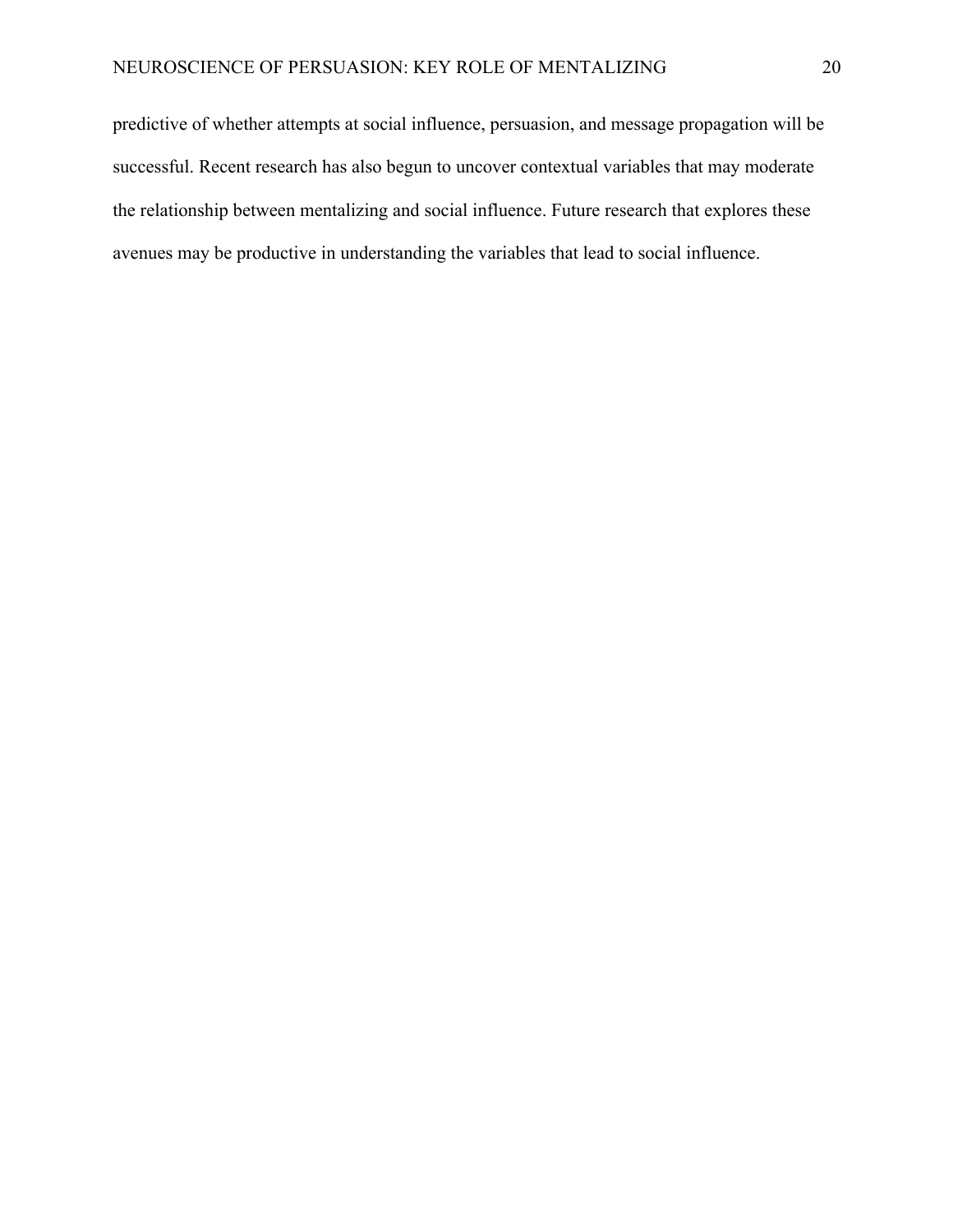predictive of whether attempts at social influence, persuasion, and message propagation will be successful. Recent research has also begun to uncover contextual variables that may moderate the relationship between mentalizing and social influence. Future research that explores these avenues may be productive in understanding the variables that lead to social influence.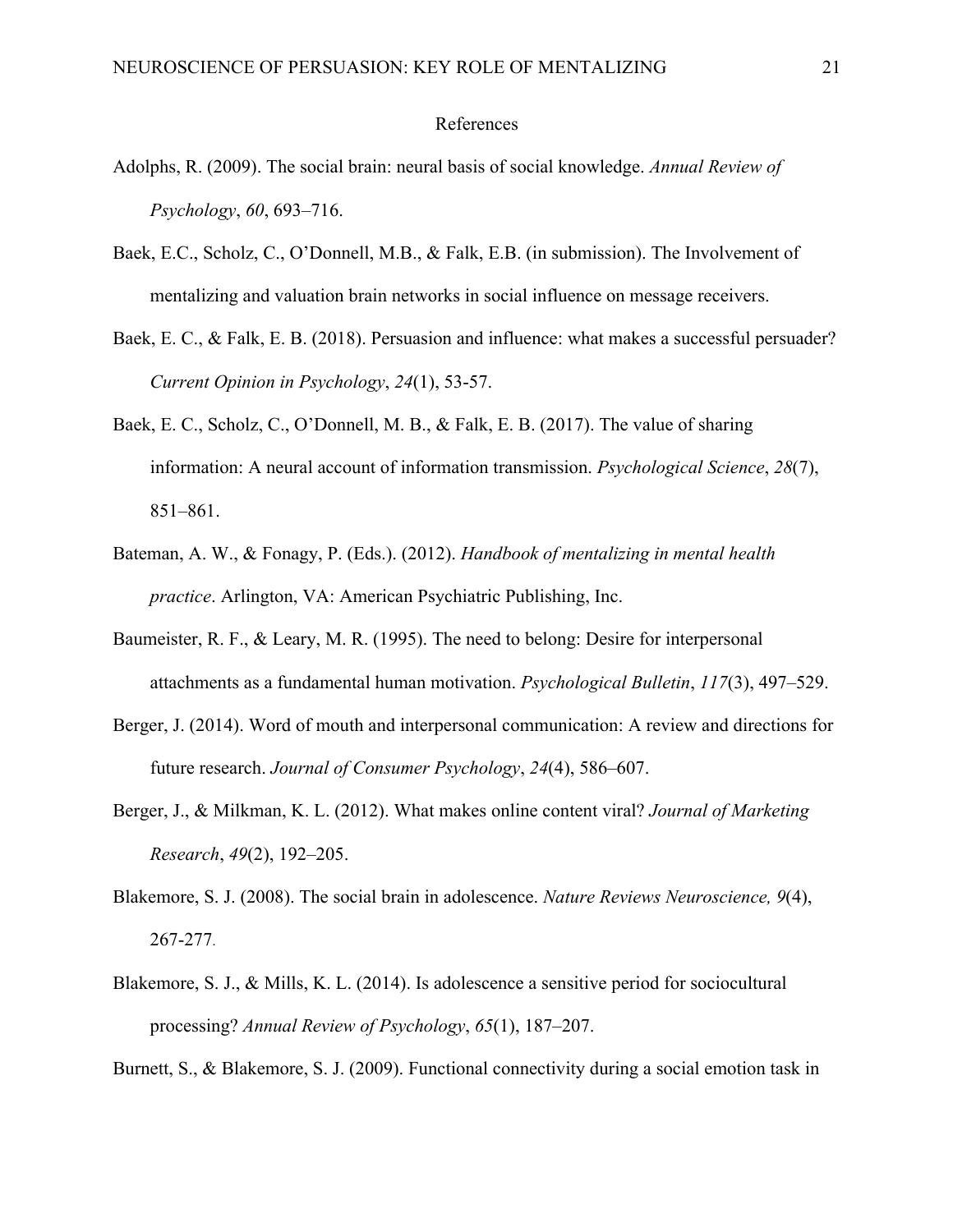## References

- Adolphs, R. (2009). The social brain: neural basis of social knowledge. *Annual Review of Psychology*, *60*, 693–716.
- Baek, E.C., Scholz, C., O'Donnell, M.B., & Falk, E.B. (in submission). The Involvement of mentalizing and valuation brain networks in social influence on message receivers.
- Baek, E. C., & Falk, E. B. (2018). Persuasion and influence: what makes a successful persuader? *Current Opinion in Psychology*, *24*(1), 53-57.
- Baek, E. C., Scholz, C., O'Donnell, M. B., & Falk, E. B. (2017). The value of sharing information: A neural account of information transmission. *Psychological Science*, *28*(7), 851–861.
- Bateman, A. W., & Fonagy, P. (Eds.). (2012). *Handbook of mentalizing in mental health practice*. Arlington, VA: American Psychiatric Publishing, Inc.
- Baumeister, R. F., & Leary, M. R. (1995). The need to belong: Desire for interpersonal attachments as a fundamental human motivation. *Psychological Bulletin*, *117*(3), 497–529.
- Berger, J. (2014). Word of mouth and interpersonal communication: A review and directions for future research. *Journal of Consumer Psychology*, *24*(4), 586–607.
- Berger, J., & Milkman, K. L. (2012). What makes online content viral? *Journal of Marketing Research*, *49*(2), 192–205.
- Blakemore, S. J. (2008). The social brain in adolescence. *Nature Reviews Neuroscience, 9*(4), 267-277.
- Blakemore, S. J., & Mills, K. L. (2014). Is adolescence a sensitive period for sociocultural processing? *Annual Review of Psychology*, *65*(1), 187–207.

Burnett, S., & Blakemore, S. J. (2009). Functional connectivity during a social emotion task in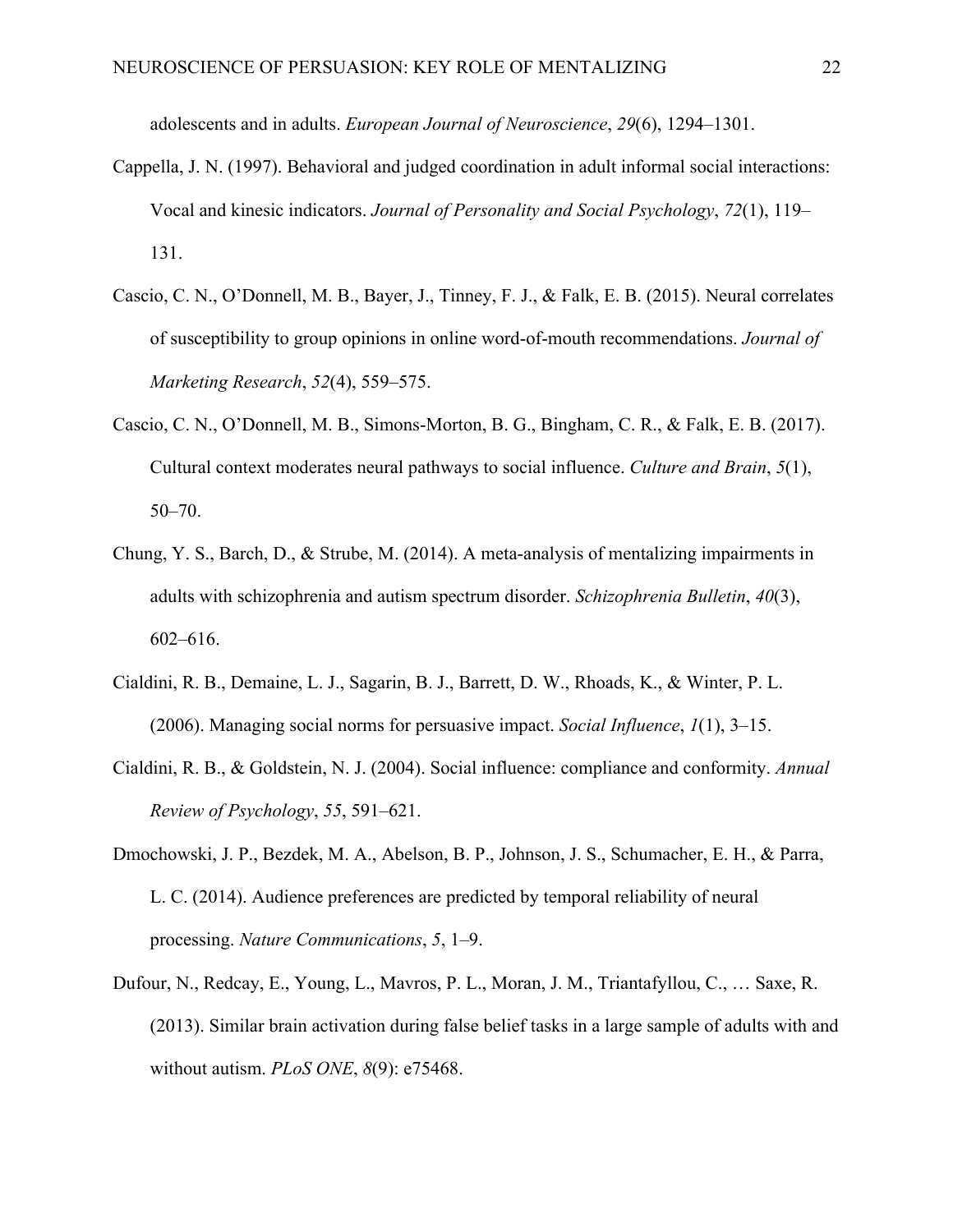adolescents and in adults. *European Journal of Neuroscience*, *29*(6), 1294–1301.

- Cappella, J. N. (1997). Behavioral and judged coordination in adult informal social interactions: Vocal and kinesic indicators. *Journal of Personality and Social Psychology*, *72*(1), 119– 131.
- Cascio, C. N., O'Donnell, M. B., Bayer, J., Tinney, F. J., & Falk, E. B. (2015). Neural correlates of susceptibility to group opinions in online word-of-mouth recommendations. *Journal of Marketing Research*, *52*(4), 559–575.
- Cascio, C. N., O'Donnell, M. B., Simons-Morton, B. G., Bingham, C. R., & Falk, E. B. (2017). Cultural context moderates neural pathways to social influence. *Culture and Brain*, *5*(1), 50–70.
- Chung, Y. S., Barch, D., & Strube, M. (2014). A meta-analysis of mentalizing impairments in adults with schizophrenia and autism spectrum disorder. *Schizophrenia Bulletin*, *40*(3), 602–616.
- Cialdini, R. B., Demaine, L. J., Sagarin, B. J., Barrett, D. W., Rhoads, K., & Winter, P. L. (2006). Managing social norms for persuasive impact. *Social Influence*, *1*(1), 3–15.
- Cialdini, R. B., & Goldstein, N. J. (2004). Social influence: compliance and conformity. *Annual Review of Psychology*, *55*, 591–621.
- Dmochowski, J. P., Bezdek, M. A., Abelson, B. P., Johnson, J. S., Schumacher, E. H., & Parra, L. C. (2014). Audience preferences are predicted by temporal reliability of neural processing. *Nature Communications*, *5*, 1–9.
- Dufour, N., Redcay, E., Young, L., Mavros, P. L., Moran, J. M., Triantafyllou, C., … Saxe, R. (2013). Similar brain activation during false belief tasks in a large sample of adults with and without autism. *PLoS ONE*, *8*(9): e75468.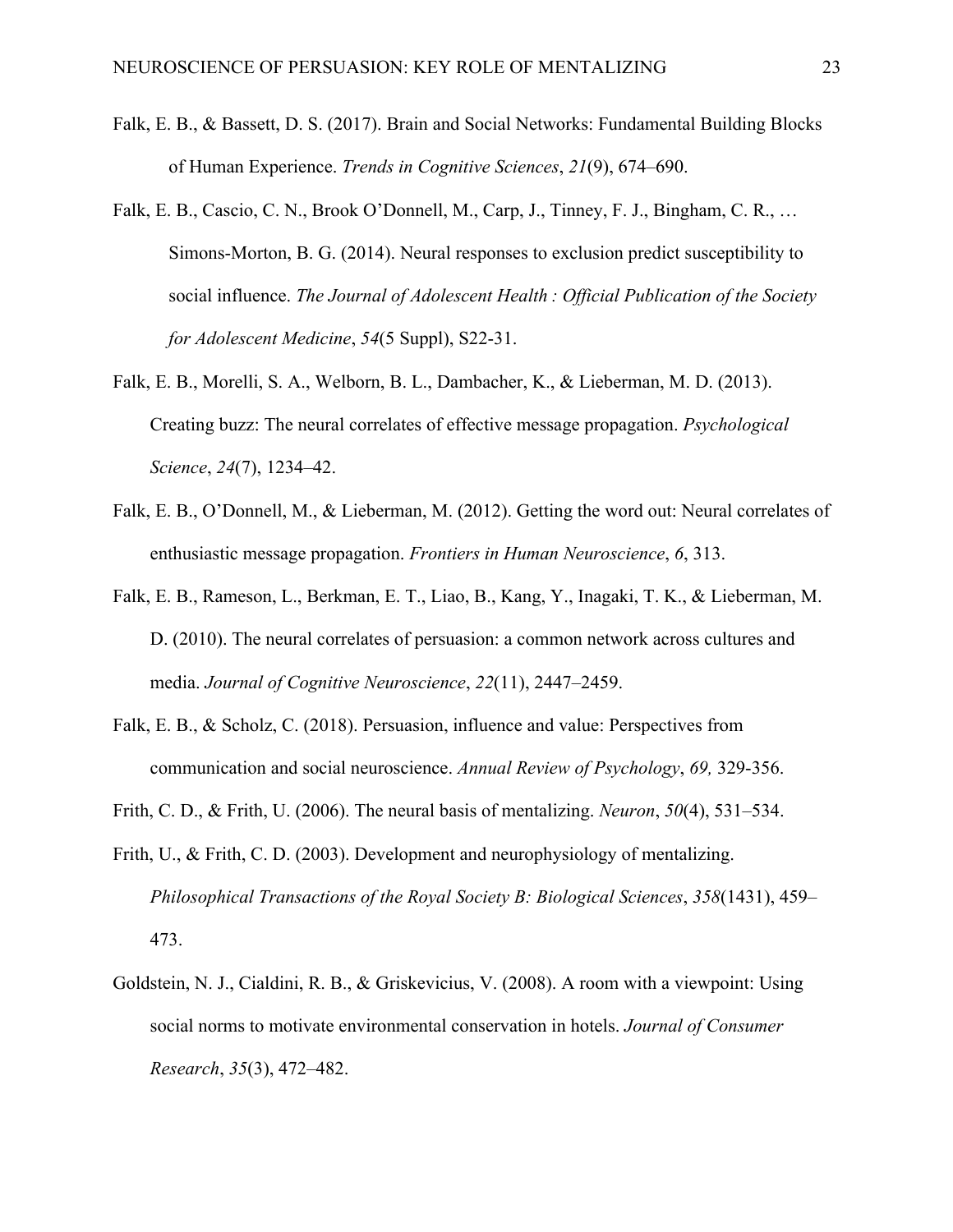- Falk, E. B., & Bassett, D. S. (2017). Brain and Social Networks: Fundamental Building Blocks of Human Experience. *Trends in Cognitive Sciences*, *21*(9), 674–690.
- Falk, E. B., Cascio, C. N., Brook O'Donnell, M., Carp, J., Tinney, F. J., Bingham, C. R., … Simons-Morton, B. G. (2014). Neural responses to exclusion predict susceptibility to social influence. *The Journal of Adolescent Health : Official Publication of the Society for Adolescent Medicine*, *54*(5 Suppl), S22-31.
- Falk, E. B., Morelli, S. A., Welborn, B. L., Dambacher, K., & Lieberman, M. D. (2013). Creating buzz: The neural correlates of effective message propagation. *Psychological Science*, *24*(7), 1234–42.
- Falk, E. B., O'Donnell, M., & Lieberman, M. (2012). Getting the word out: Neural correlates of enthusiastic message propagation. *Frontiers in Human Neuroscience*, *6*, 313.
- Falk, E. B., Rameson, L., Berkman, E. T., Liao, B., Kang, Y., Inagaki, T. K., & Lieberman, M. D. (2010). The neural correlates of persuasion: a common network across cultures and media. *Journal of Cognitive Neuroscience*, *22*(11), 2447–2459.
- Falk, E. B., & Scholz, C. (2018). Persuasion, influence and value: Perspectives from communication and social neuroscience. *Annual Review of Psychology*, *69,* 329-356.
- Frith, C. D., & Frith, U. (2006). The neural basis of mentalizing. *Neuron*, *50*(4), 531–534.
- Frith, U., & Frith, C. D. (2003). Development and neurophysiology of mentalizing. *Philosophical Transactions of the Royal Society B: Biological Sciences*, *358*(1431), 459– 473.
- Goldstein, N. J., Cialdini, R. B., & Griskevicius, V. (2008). A room with a viewpoint: Using social norms to motivate environmental conservation in hotels. *Journal of Consumer Research*, *35*(3), 472–482.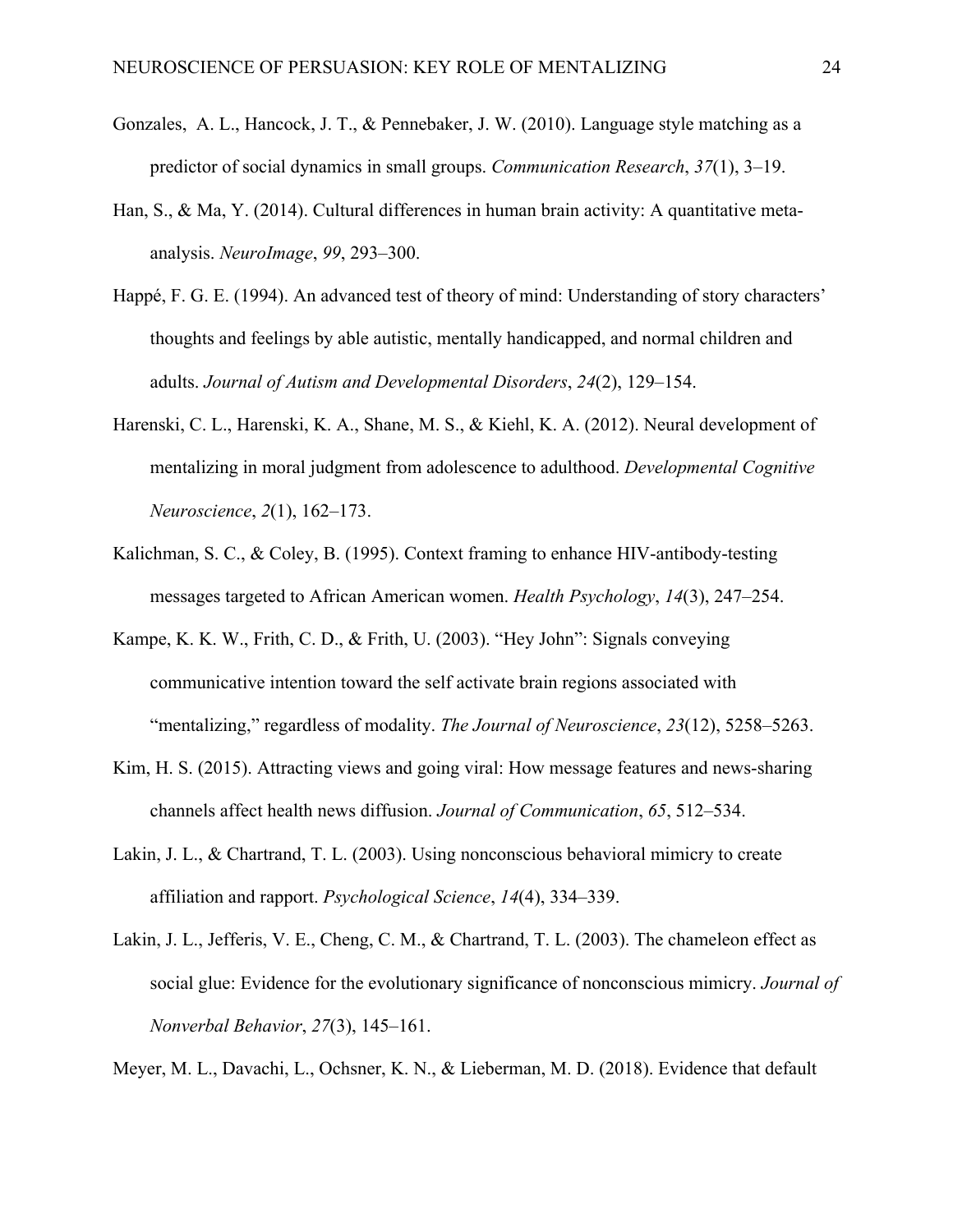- Gonzales, A. L., Hancock, J. T., & Pennebaker, J. W. (2010). Language style matching as a predictor of social dynamics in small groups. *Communication Research*, *37*(1), 3–19.
- Han, S., & Ma, Y. (2014). Cultural differences in human brain activity: A quantitative metaanalysis. *NeuroImage*, *99*, 293–300.
- Happé, F. G. E. (1994). An advanced test of theory of mind: Understanding of story characters' thoughts and feelings by able autistic, mentally handicapped, and normal children and adults. *Journal of Autism and Developmental Disorders*, *24*(2), 129–154.
- Harenski, C. L., Harenski, K. A., Shane, M. S., & Kiehl, K. A. (2012). Neural development of mentalizing in moral judgment from adolescence to adulthood. *Developmental Cognitive Neuroscience*, *2*(1), 162–173.
- Kalichman, S. C., & Coley, B. (1995). Context framing to enhance HIV-antibody-testing messages targeted to African American women. *Health Psychology*, *14*(3), 247–254.
- Kampe, K. K. W., Frith, C. D., & Frith, U. (2003). "Hey John": Signals conveying communicative intention toward the self activate brain regions associated with "mentalizing," regardless of modality. *The Journal of Neuroscience*, *23*(12), 5258–5263.
- Kim, H. S. (2015). Attracting views and going viral: How message features and news-sharing channels affect health news diffusion. *Journal of Communication*, *65*, 512–534.
- Lakin, J. L., & Chartrand, T. L. (2003). Using nonconscious behavioral mimicry to create affiliation and rapport. *Psychological Science*, *14*(4), 334–339.
- Lakin, J. L., Jefferis, V. E., Cheng, C. M., & Chartrand, T. L. (2003). The chameleon effect as social glue: Evidence for the evolutionary significance of nonconscious mimicry. *Journal of Nonverbal Behavior*, *27*(3), 145–161.

Meyer, M. L., Davachi, L., Ochsner, K. N., & Lieberman, M. D. (2018). Evidence that default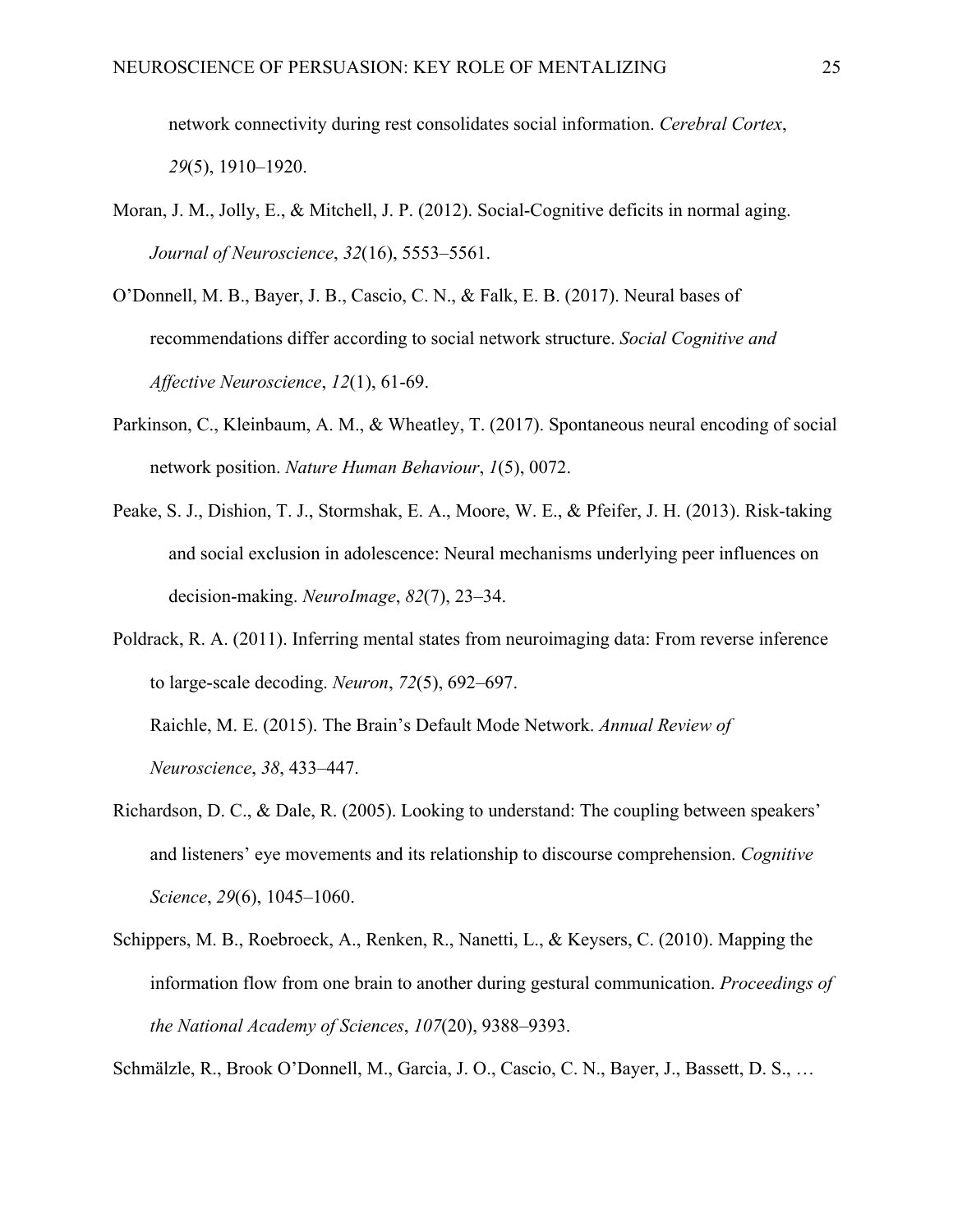network connectivity during rest consolidates social information. *Cerebral Cortex*, *29*(5), 1910–1920.

- Moran, J. M., Jolly, E., & Mitchell, J. P. (2012). Social-Cognitive deficits in normal aging. *Journal of Neuroscience*, *32*(16), 5553–5561.
- O'Donnell, M. B., Bayer, J. B., Cascio, C. N., & Falk, E. B. (2017). Neural bases of recommendations differ according to social network structure. *Social Cognitive and Affective Neuroscience*, *12*(1), 61-69.
- Parkinson, C., Kleinbaum, A. M., & Wheatley, T. (2017). Spontaneous neural encoding of social network position. *Nature Human Behaviour*, *1*(5), 0072.
- Peake, S. J., Dishion, T. J., Stormshak, E. A., Moore, W. E., & Pfeifer, J. H. (2013). Risk-taking and social exclusion in adolescence: Neural mechanisms underlying peer influences on decision-making. *NeuroImage*, *82*(7), 23–34.
- Poldrack, R. A. (2011). Inferring mental states from neuroimaging data: From reverse inference to large-scale decoding. *Neuron*, *72*(5), 692–697. Raichle, M. E. (2015). The Brain's Default Mode Network. *Annual Review of*

*Neuroscience*, *38*, 433–447.

- Richardson, D. C., & Dale, R. (2005). Looking to understand: The coupling between speakers' and listeners' eye movements and its relationship to discourse comprehension. *Cognitive Science*, *29*(6), 1045–1060.
- Schippers, M. B., Roebroeck, A., Renken, R., Nanetti, L., & Keysers, C. (2010). Mapping the information flow from one brain to another during gestural communication. *Proceedings of the National Academy of Sciences*, *107*(20), 9388–9393.

Schmälzle, R., Brook O'Donnell, M., Garcia, J. O., Cascio, C. N., Bayer, J., Bassett, D. S., …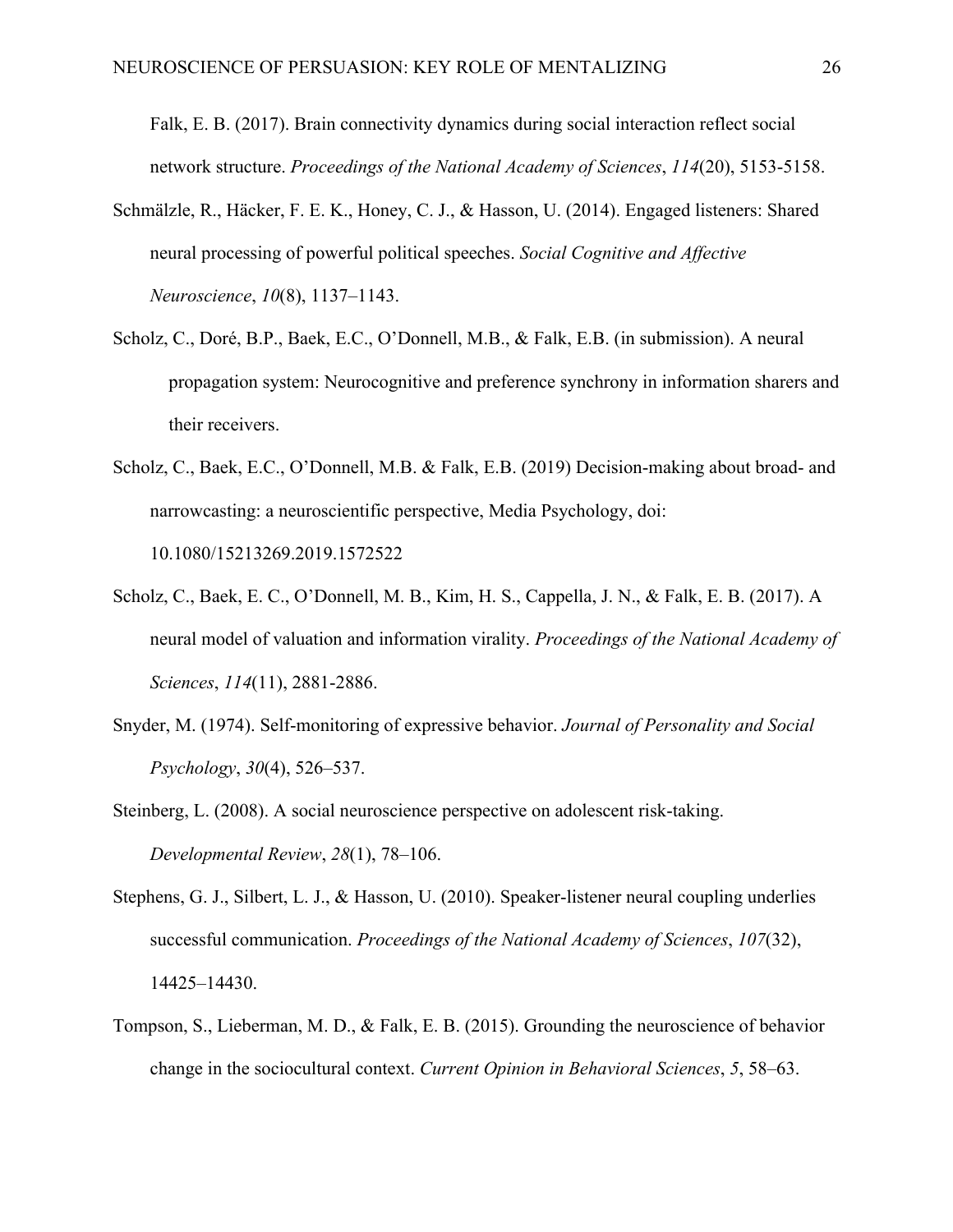Falk, E. B. (2017). Brain connectivity dynamics during social interaction reflect social network structure. *Proceedings of the National Academy of Sciences*, *114*(20), 5153-5158.

- Schmälzle, R., Häcker, F. E. K., Honey, C. J., & Hasson, U. (2014). Engaged listeners: Shared neural processing of powerful political speeches. *Social Cognitive and Affective Neuroscience*, *10*(8), 1137–1143.
- Scholz, C., Doré, B.P., Baek, E.C., O'Donnell, M.B., & Falk, E.B. (in submission). A neural propagation system: Neurocognitive and preference synchrony in information sharers and their receivers.
- Scholz, C., Baek, E.C., O'Donnell, M.B. & Falk, E.B. (2019) Decision-making about broad- and narrowcasting: a neuroscientific perspective, Media Psychology, doi: 10.1080/15213269.2019.1572522
- Scholz, C., Baek, E. C., O'Donnell, M. B., Kim, H. S., Cappella, J. N., & Falk, E. B. (2017). A neural model of valuation and information virality. *Proceedings of the National Academy of Sciences*, *114*(11), 2881-2886.
- Snyder, M. (1974). Self-monitoring of expressive behavior. *Journal of Personality and Social Psychology*, *30*(4), 526–537.
- Steinberg, L. (2008). A social neuroscience perspective on adolescent risk-taking. *Developmental Review*, *28*(1), 78–106.
- Stephens, G. J., Silbert, L. J., & Hasson, U. (2010). Speaker-listener neural coupling underlies successful communication. *Proceedings of the National Academy of Sciences*, *107*(32), 14425–14430.
- Tompson, S., Lieberman, M. D., & Falk, E. B. (2015). Grounding the neuroscience of behavior change in the sociocultural context. *Current Opinion in Behavioral Sciences*, *5*, 58–63.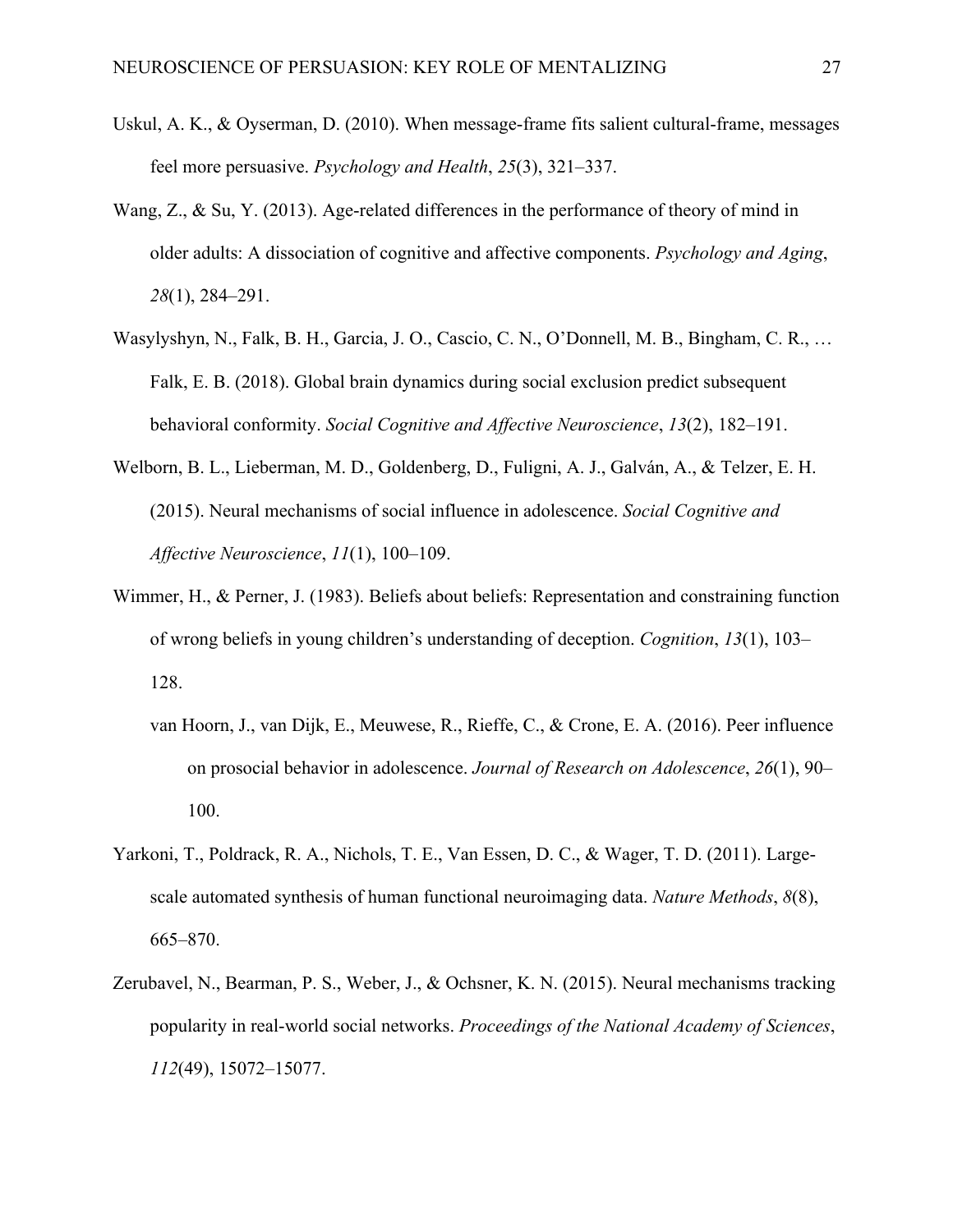- Uskul, A. K., & Oyserman, D. (2010). When message-frame fits salient cultural-frame, messages feel more persuasive. *Psychology and Health*, *25*(3), 321–337.
- Wang, Z., & Su, Y. (2013). Age-related differences in the performance of theory of mind in older adults: A dissociation of cognitive and affective components. *Psychology and Aging*, *28*(1), 284–291.
- Wasylyshyn, N., Falk, B. H., Garcia, J. O., Cascio, C. N., O'Donnell, M. B., Bingham, C. R., … Falk, E. B. (2018). Global brain dynamics during social exclusion predict subsequent behavioral conformity. *Social Cognitive and Affective Neuroscience*, *13*(2), 182–191.
- Welborn, B. L., Lieberman, M. D., Goldenberg, D., Fuligni, A. J., Galván, A., & Telzer, E. H. (2015). Neural mechanisms of social influence in adolescence. *Social Cognitive and Affective Neuroscience*, *11*(1), 100–109.
- Wimmer, H., & Perner, J. (1983). Beliefs about beliefs: Representation and constraining function of wrong beliefs in young children's understanding of deception. *Cognition*, *13*(1), 103– 128.
	- van Hoorn, J., van Dijk, E., Meuwese, R., Rieffe, C., & Crone, E. A. (2016). Peer influence on prosocial behavior in adolescence. *Journal of Research on Adolescence*, *26*(1), 90– 100.
- Yarkoni, T., Poldrack, R. A., Nichols, T. E., Van Essen, D. C., & Wager, T. D. (2011). Largescale automated synthesis of human functional neuroimaging data. *Nature Methods*, *8*(8), 665–870.
- Zerubavel, N., Bearman, P. S., Weber, J., & Ochsner, K. N. (2015). Neural mechanisms tracking popularity in real-world social networks. *Proceedings of the National Academy of Sciences*, *112*(49), 15072–15077.